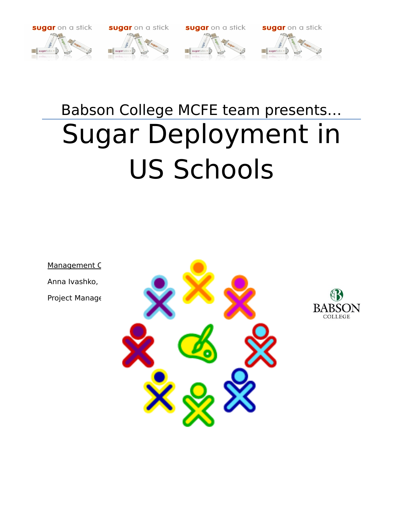

# Babson College MCFE team presents… Sugar Deployment in US Schools

Management C

Anna Ivashko,

Project Manage



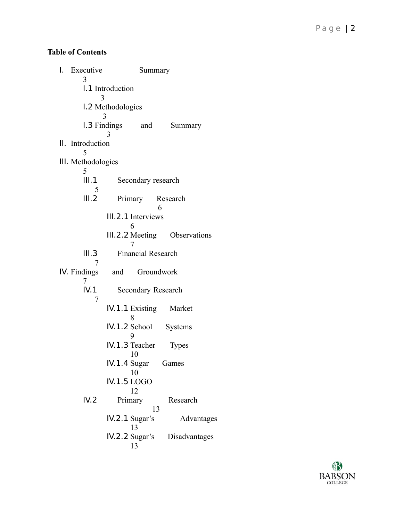# **Table of Contents**

| I. | Executive                |                     | Summary                   |                               |  |  |
|----|--------------------------|---------------------|---------------------------|-------------------------------|--|--|
|    | 3                        |                     |                           |                               |  |  |
|    |                          | 1.1 Introduction    |                           |                               |  |  |
|    | 3<br>1.2 Methodologies   |                     |                           |                               |  |  |
|    |                          | 3                   |                           |                               |  |  |
|    |                          | <b>1.3 Findings</b> | and                       | Summary                       |  |  |
|    |                          |                     |                           |                               |  |  |
|    | II. Introduction         |                     |                           |                               |  |  |
|    | 5<br>III. Methodologies  |                     |                           |                               |  |  |
|    | 5                        |                     |                           |                               |  |  |
|    | III.1                    |                     | Secondary research        |                               |  |  |
|    | $5\overline{5}$<br>III.2 |                     |                           | Primary Research              |  |  |
|    |                          |                     |                           | 6                             |  |  |
|    |                          |                     | III.2.1 Interviews        |                               |  |  |
|    |                          |                     | 6                         |                               |  |  |
|    |                          |                     |                           | III.2.2 Meeting Observations  |  |  |
|    | III.3                    |                     | <b>Financial Research</b> |                               |  |  |
|    | 7<br>IV. Findings        |                     | and Groundwork            |                               |  |  |
|    | 7                        |                     |                           |                               |  |  |
|    | IV.1                     |                     | Secondary Research        |                               |  |  |
|    | 7                        |                     |                           | <b>IV.1.1</b> Existing Market |  |  |
|    |                          |                     | 8                         |                               |  |  |
|    |                          |                     | 9                         | IV.1.2 School Systems         |  |  |
|    |                          |                     | IV.1.3 Teacher            | Types                         |  |  |
|    |                          |                     | 10                        |                               |  |  |
|    |                          | IV.1.4 Sugar        |                           | Games                         |  |  |
|    |                          | <b>IV.1.5 LOGO</b>  | 10                        |                               |  |  |
|    |                          |                     | 12                        |                               |  |  |
|    | IV.2                     | Primary             |                           | Research                      |  |  |
|    |                          |                     | 13                        |                               |  |  |
|    |                          | IV.2.1 Sugar's      |                           | Advantages                    |  |  |
|    |                          |                     | 13<br>$IV.2.2$ Sugar's    | Disadvantages                 |  |  |
|    |                          |                     | 13                        |                               |  |  |

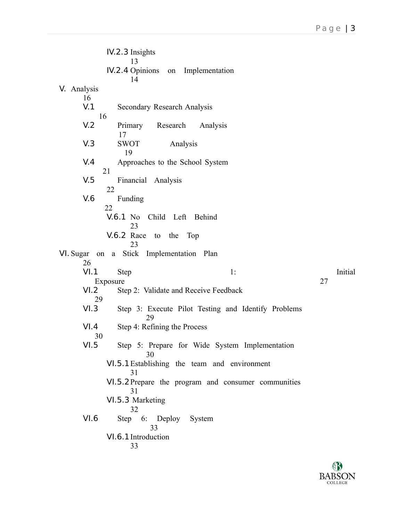| IV.2.3 Insights                                                   |    |         |
|-------------------------------------------------------------------|----|---------|
| 13<br>IV.2.4 Opinions on Implementation<br>14                     |    |         |
| V. Analysis<br>16                                                 |    |         |
| V <sub>1</sub><br>Secondary Research Analysis                     |    |         |
| 16                                                                |    |         |
| V.2<br>Primary<br>Research<br>Analysis<br>17                      |    |         |
| V.3<br><b>SWOT</b><br>Analysis<br>19                              |    |         |
| V.4<br>Approaches to the School System<br>21                      |    |         |
| V.5<br>Financial Analysis<br>22                                   |    |         |
| V.6<br>Funding<br>22                                              |    |         |
| V.6.1 No Child Left Behind<br>23                                  |    |         |
| V.6.2 Race to the Top<br>23                                       |    |         |
| VI. Sugar on a Stick Implementation Plan<br>26                    |    |         |
| VI.1<br>1:<br><b>Step</b>                                         |    | Initial |
| Exposure<br>VI.2                                                  | 27 |         |
| Step 2: Validate and Receive Feedback<br>29                       |    |         |
| VI.3<br>Step 3: Execute Pilot Testing and Identify Problems<br>29 |    |         |
| VI.4<br>Step 4: Refining the Process<br>30                        |    |         |
| VI.5<br>Step 5: Prepare for Wide System Implementation<br>30      |    |         |
| VI.5.1 Establishing the team and environment<br>31                |    |         |
| VI.5.2 Prepare the program and consumer communities<br>31         |    |         |
| VI.5.3 Marketing<br>32                                            |    |         |
| VI.6<br>6: Deploy System<br><b>Step</b><br>33                     |    |         |
| VI.6.1 Introduction<br>33                                         |    |         |

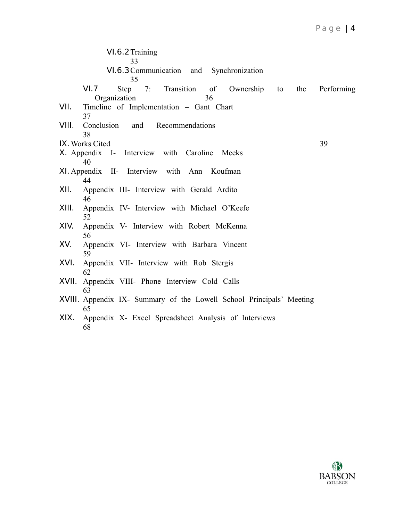|       | VI.6.2 Training<br>33                                                      |                |
|-------|----------------------------------------------------------------------------|----------------|
|       | VI.6.3 Communication and Synchronization<br>35                             |                |
|       | 7: Transition of Ownership to<br>VI.7<br><b>Step</b>                       | the Performing |
|       | Organization<br>36                                                         |                |
| VII.  | Timeline of Implementation - Gant Chart<br>37                              |                |
| VIII. | Conclusion and Recommendations                                             |                |
|       | 38                                                                         |                |
|       | IX. Works Cited                                                            | 39             |
|       | X. Appendix I- Interview with Caroline<br>Meeks<br>40                      |                |
|       | XI. Appendix II- Interview with Ann Koufman<br>44                          |                |
| XII.  | Appendix III- Interview with Gerald Ardito<br>46                           |                |
| XIII. | Appendix IV- Interview with Michael O'Keefe<br>52                          |                |
| XIV.  | Appendix V- Interview with Robert McKenna<br>56                            |                |
| XV.   | Appendix VI- Interview with Barbara Vincent<br>59                          |                |
| XVI.  | Appendix VII- Interview with Rob Stergis<br>62                             |                |
|       | XVII. Appendix VIII- Phone Interview Cold Calls<br>63                      |                |
|       | XVIII. Appendix IX- Summary of the Lowell School Principals' Meeting<br>65 |                |
| XIX.  | Appendix X- Excel Spreadsheet Analysis of Interviews<br>68                 |                |

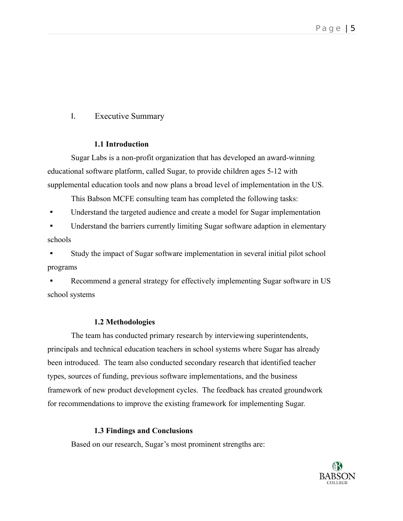## I. Executive Summary

#### **1.1 Introduction**

Sugar Labs is a non-profit organization that has developed an award-winning educational software platform, called Sugar, to provide children ages 5-12 with supplemental education tools and now plans a broad level of implementation in the US.

This Babson MCFE consulting team has completed the following tasks:

Understand the targeted audience and create a model for Sugar implementation

 Understand the barriers currently limiting Sugar software adaption in elementary schools

 Study the impact of Sugar software implementation in several initial pilot school programs

 Recommend a general strategy for effectively implementing Sugar software in US school systems

#### **1.2 Methodologies**

The team has conducted primary research by interviewing superintendents, principals and technical education teachers in school systems where Sugar has already been introduced. The team also conducted secondary research that identified teacher types, sources of funding, previous software implementations, and the business framework of new product development cycles. The feedback has created groundwork for recommendations to improve the existing framework for implementing Sugar.

#### **1.3 Findings and Conclusions**

Based on our research, Sugar's most prominent strengths are:

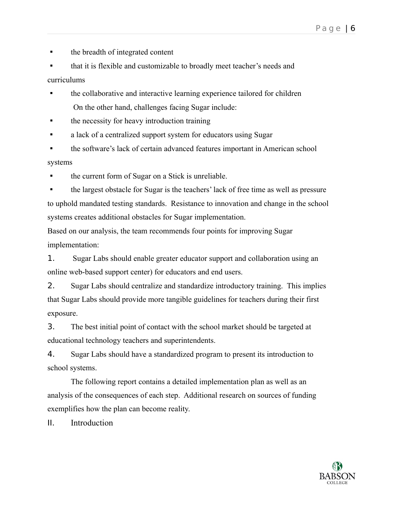- **the breadth of integrated content**
- that it is flexible and customizable to broadly meet teacher's needs and curriculums
- the collaborative and interactive learning experience tailored for children On the other hand, challenges facing Sugar include:
- the necessity for heavy introduction training
- a lack of a centralized support system for educators using Sugar
- the software's lack of certain advanced features important in American school

## systems

- the current form of Sugar on a Stick is unreliable.
- the largest obstacle for Sugar is the teachers' lack of free time as well as pressure to uphold mandated testing standards. Resistance to innovation and change in the school systems creates additional obstacles for Sugar implementation.

Based on our analysis, the team recommends four points for improving Sugar implementation:

1. Sugar Labs should enable greater educator support and collaboration using an online web-based support center) for educators and end users.

2. Sugar Labs should centralize and standardize introductory training. This implies that Sugar Labs should provide more tangible guidelines for teachers during their first exposure.

3. The best initial point of contact with the school market should be targeted at educational technology teachers and superintendents.

4. Sugar Labs should have a standardized program to present its introduction to school systems.

The following report contains a detailed implementation plan as well as an analysis of the consequences of each step. Additional research on sources of funding exemplifies how the plan can become reality.

II. Introduction

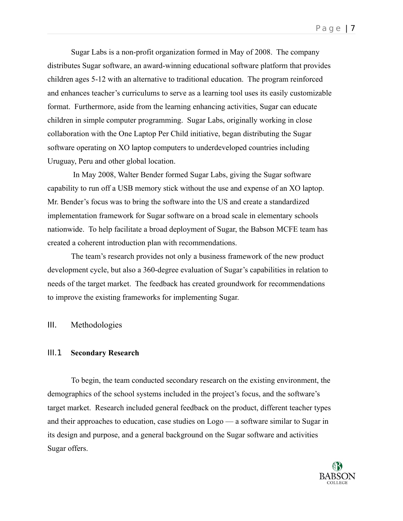Sugar Labs is a non-profit organization formed in May of 2008. The company distributes Sugar software, an award-winning educational software platform that provides children ages 5-12 with an alternative to traditional education. The program reinforced and enhances teacher's curriculums to serve as a learning tool uses its easily customizable format. Furthermore, aside from the learning enhancing activities, Sugar can educate children in simple computer programming. Sugar Labs, originally working in close collaboration with the One Laptop Per Child initiative, began distributing the Sugar software operating on XO laptop computers to underdeveloped countries including Uruguay, Peru and other global location.

 In May 2008, Walter Bender formed Sugar Labs, giving the Sugar software capability to run off a USB memory stick without the use and expense of an XO laptop. Mr. Bender's focus was to bring the software into the US and create a standardized implementation framework for Sugar software on a broad scale in elementary schools nationwide. To help facilitate a broad deployment of Sugar, the Babson MCFE team has created a coherent introduction plan with recommendations.

The team's research provides not only a business framework of the new product development cycle, but also a 360-degree evaluation of Sugar's capabilities in relation to needs of the target market. The feedback has created groundwork for recommendations to improve the existing frameworks for implementing Sugar.

III. Methodologies

#### III.1 **Secondary Research**

To begin, the team conducted secondary research on the existing environment, the demographics of the school systems included in the project's focus, and the software's target market. Research included general feedback on the product, different teacher types and their approaches to education, case studies on Logo — a software similar to Sugar in its design and purpose, and a general background on the Sugar software and activities Sugar offers.

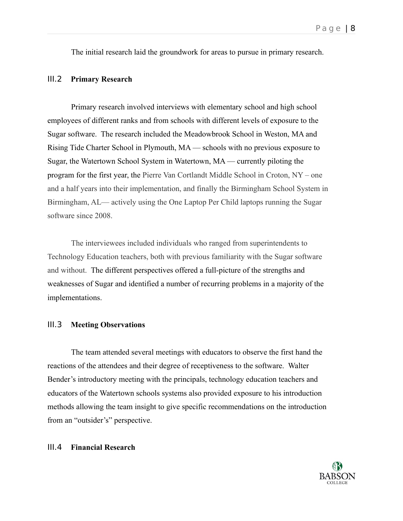The initial research laid the groundwork for areas to pursue in primary research.

#### III.2 **Primary Research**

Primary research involved interviews with elementary school and high school employees of different ranks and from schools with different levels of exposure to the Sugar software. The research included the Meadowbrook School in Weston, MA and Rising Tide Charter School in Plymouth, MA — schools with no previous exposure to Sugar, the Watertown School System in Watertown, MA — currently piloting the program for the first year, the Pierre Van Cortlandt Middle School in Croton, NY – one and a half years into their implementation, and finally the Birmingham School System in Birmingham, AL— actively using the One Laptop Per Child laptops running the Sugar software since 2008.

The interviewees included individuals who ranged from superintendents to Technology Education teachers, both with previous familiarity with the Sugar software and without. The different perspectives offered a full-picture of the strengths and weaknesses of Sugar and identified a number of recurring problems in a majority of the implementations.

#### III.3 **Meeting Observations**

The team attended several meetings with educators to observe the first hand the reactions of the attendees and their degree of receptiveness to the software. Walter Bender's introductory meeting with the principals, technology education teachers and educators of the Watertown schools systems also provided exposure to his introduction methods allowing the team insight to give specific recommendations on the introduction from an "outsider's" perspective.

#### III.4 **Financial Research**

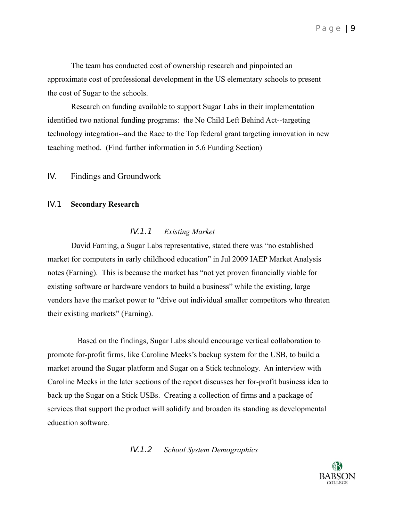The team has conducted cost of ownership research and pinpointed an approximate cost of professional development in the US elementary schools to present the cost of Sugar to the schools.

Research on funding available to support Sugar Labs in their implementation identified two national funding programs: the No Child Left Behind Act--targeting technology integration--and the Race to the Top federal grant targeting innovation in new teaching method. (Find further information in 5.6 Funding Section)

#### IV. Findings and Groundwork

## IV.1 **Secondary Research**

## IV.1.1 *Existing Market*

David Farning, a Sugar Labs representative, stated there was "no established market for computers in early childhood education" in Jul 2009 IAEP Market Analysis notes (Farning). This is because the market has "not yet proven financially viable for existing software or hardware vendors to build a business" while the existing, large vendors have the market power to "drive out individual smaller competitors who threaten their existing markets" (Farning).

Based on the findings, Sugar Labs should encourage vertical collaboration to promote for-profit firms, like Caroline Meeks's backup system for the USB, to build a market around the Sugar platform and Sugar on a Stick technology. An interview with Caroline Meeks in the later sections of the report discusses her for-profit business idea to back up the Sugar on a Stick USBs. Creating a collection of firms and a package of services that support the product will solidify and broaden its standing as developmental education software.

## IV.1.2 *School System Demographics*

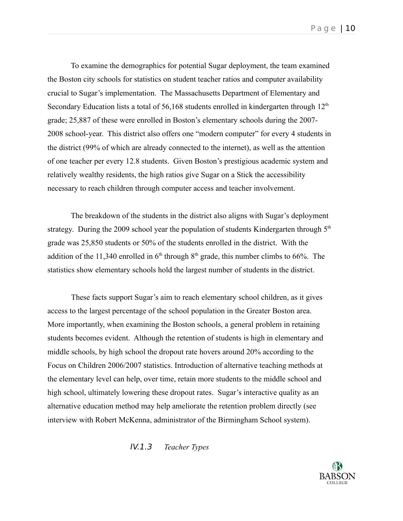To examine the demographics for potential Sugar deployment, the team examined the Boston city schools for statistics on student teacher ratios and computer availability crucial to Sugar's implementation. The Massachusetts Department of Elementary and Secondary Education lists a total of 56,168 students enrolled in kindergarten through  $12<sup>th</sup>$ grade; 25,887 of these were enrolled in Boston's elementary schools during the 2007- 2008 school-year. This district also offers one "modern computer" for every 4 students in the district (99% of which are already connected to the internet), as well as the attention of one teacher per every 12.8 students. Given Boston's prestigious academic system and relatively wealthy residents, the high ratios give Sugar on a Stick the accessibility necessary to reach children through computer access and teacher involvement.

The breakdown of the students in the district also aligns with Sugar's deployment strategy. During the 2009 school year the population of students Kindergarten through  $5<sup>th</sup>$ grade was 25,850 students or 50% of the students enrolled in the district. With the addition of the 11,340 enrolled in  $6<sup>th</sup>$  through  $8<sup>th</sup>$  grade, this number climbs to 66%. The statistics show elementary schools hold the largest number of students in the district.

These facts support Sugar's aim to reach elementary school children, as it gives access to the largest percentage of the school population in the Greater Boston area. More importantly, when examining the Boston schools, a general problem in retaining students becomes evident. Although the retention of students is high in elementary and middle schools, by high school the dropout rate hovers around 20% according to the Focus on Children 2006/2007 statistics. Introduction of alternative teaching methods at the elementary level can help, over time, retain more students to the middle school and high school, ultimately lowering these dropout rates. Sugar's interactive quality as an alternative education method may help ameliorate the retention problem directly (see interview with Robert McKenna, administrator of the Birmingham School system).

IV.1.3 *Teacher Types*

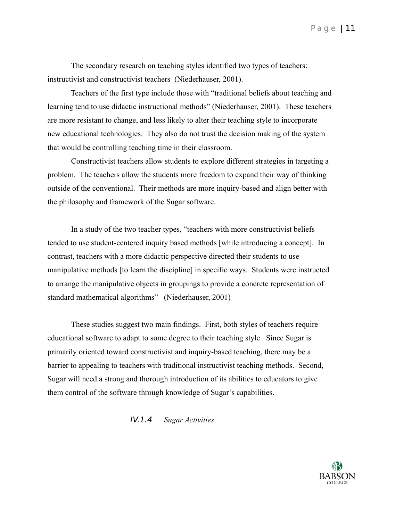The secondary research on teaching styles identified two types of teachers: instructivist and constructivist teachers (Niederhauser, 2001).

Teachers of the first type include those with "traditional beliefs about teaching and learning tend to use didactic instructional methods" (Niederhauser, 2001). These teachers are more resistant to change, and less likely to alter their teaching style to incorporate new educational technologies. They also do not trust the decision making of the system that would be controlling teaching time in their classroom.

Constructivist teachers allow students to explore different strategies in targeting a problem. The teachers allow the students more freedom to expand their way of thinking outside of the conventional. Their methods are more inquiry-based and align better with the philosophy and framework of the Sugar software.

In a study of the two teacher types, "teachers with more constructivist beliefs tended to use student-centered inquiry based methods [while introducing a concept]. In contrast, teachers with a more didactic perspective directed their students to use manipulative methods [to learn the discipline] in specific ways. Students were instructed to arrange the manipulative objects in groupings to provide a concrete representation of standard mathematical algorithms" (Niederhauser, 2001)

These studies suggest two main findings. First, both styles of teachers require educational software to adapt to some degree to their teaching style. Since Sugar is primarily oriented toward constructivist and inquiry-based teaching, there may be a barrier to appealing to teachers with traditional instructivist teaching methods. Second, Sugar will need a strong and thorough introduction of its abilities to educators to give them control of the software through knowledge of Sugar's capabilities.

IV.1.4 *Sugar Activities*

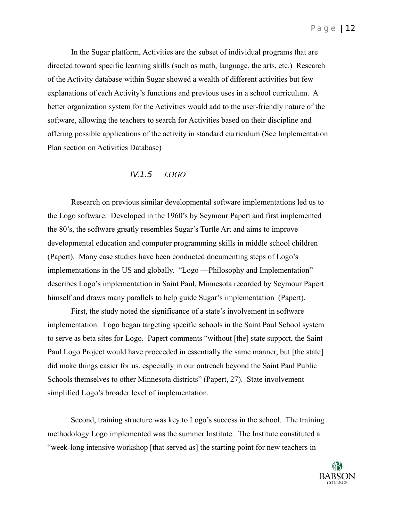In the Sugar platform, Activities are the subset of individual programs that are directed toward specific learning skills (such as math, language, the arts, etc.) Research of the Activity database within Sugar showed a wealth of different activities but few explanations of each Activity's functions and previous uses in a school curriculum. A better organization system for the Activities would add to the user-friendly nature of the software, allowing the teachers to search for Activities based on their discipline and offering possible applications of the activity in standard curriculum (See Implementation Plan section on Activities Database)

## IV.1.5 *LOGO*

Research on previous similar developmental software implementations led us to the Logo software. Developed in the 1960's by Seymour Papert and first implemented the 80's, the software greatly resembles Sugar's Turtle Art and aims to improve developmental education and computer programming skills in middle school children (Papert). Many case studies have been conducted documenting steps of Logo's implementations in the US and globally. "Logo —Philosophy and Implementation" describes Logo's implementation in Saint Paul, Minnesota recorded by Seymour Papert himself and draws many parallels to help guide Sugar's implementation (Papert).

First, the study noted the significance of a state's involvement in software implementation. Logo began targeting specific schools in the Saint Paul School system to serve as beta sites for Logo. Papert comments "without [the] state support, the Saint Paul Logo Project would have proceeded in essentially the same manner, but [the state] did make things easier for us, especially in our outreach beyond the Saint Paul Public Schools themselves to other Minnesota districts" (Papert, 27). State involvement simplified Logo's broader level of implementation.

Second, training structure was key to Logo's success in the school. The training methodology Logo implemented was the summer Institute. The Institute constituted a "week-long intensive workshop [that served as] the starting point for new teachers in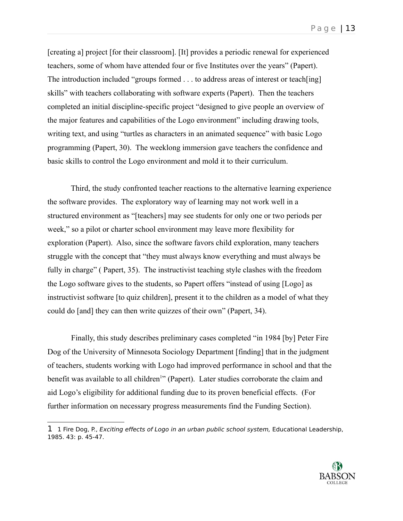[creating a] project [for their classroom]. [It] provides a periodic renewal for experienced teachers, some of whom have attended four or five Institutes over the years" (Papert). The introduction included "groups formed . . . to address areas of interest or teach[ing] skills" with teachers collaborating with software experts (Papert). Then the teachers completed an initial discipline-specific project "designed to give people an overview of the major features and capabilities of the Logo environment" including drawing tools, writing text, and using "turtles as characters in an animated sequence" with basic Logo programming (Papert, 30). The weeklong immersion gave teachers the confidence and basic skills to control the Logo environment and mold it to their curriculum.

Third, the study confronted teacher reactions to the alternative learning experience the software provides. The exploratory way of learning may not work well in a structured environment as "[teachers] may see students for only one or two periods per week," so a pilot or charter school environment may leave more flexibility for exploration (Papert). Also, since the software favors child exploration, many teachers struggle with the concept that "they must always know everything and must always be fully in charge" ( Papert, 35). The instructivist teaching style clashes with the freedom the Logo software gives to the students, so Papert offers "instead of using [Logo] as instructivist software [to quiz children], present it to the children as a model of what they could do [and] they can then write quizzes of their own" (Papert, 34).

Finally, this study describes preliminary cases completed "in 1984 [by] Peter Fire Dog of the University of Minnesota Sociology Department [finding] that in the judgment of teachers, students working with Logo had improved performance in school and that the benefit was available to all children<sup>[1](#page-12-0)</sup>" (Papert). Later studies corroborate the claim and aid Logo's eligibility for additional funding due to its proven beneficial effects. (For further information on necessary progress measurements find the Funding Section).

<span id="page-12-0"></span> $1$  1 Fire Dog, P., Exciting effects of Logo in an urban public school system, Educational Leadership, 1985. 43: p. 45-47.

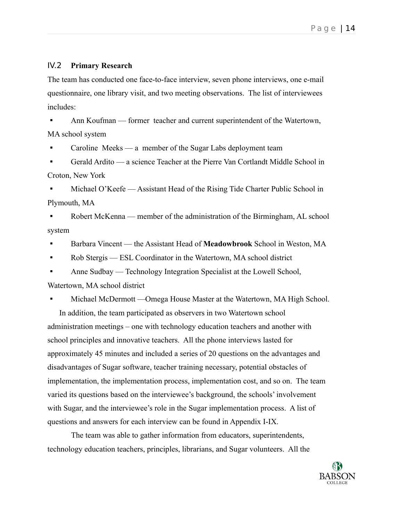## IV.2 **Primary Research**

The team has conducted one face-to-face interview, seven phone interviews, one e-mail questionnaire, one library visit, and two meeting observations. The list of interviewees includes:

 Ann Koufman — former teacher and current superintendent of the Watertown, MA school system

Caroline Meeks — a member of the Sugar Labs deployment team

 Gerald Ardito — a science Teacher at the Pierre Van Cortlandt Middle School in Croton, New York

 Michael O'Keefe — Assistant Head of the Rising Tide Charter Public School in Plymouth, MA

• Robert McKenna — member of the administration of the Birmingham, AL school system

- Barbara Vincent the Assistant Head of **Meadowbrook** School in Weston, MA
- Rob Stergis ESL Coordinator in the Watertown, MA school district
- Anne Sudbay Technology Integration Specialist at the Lowell School,

Watertown, MA school district

 Michael McDermott —Omega House Master at the Watertown, MA High School. In addition, the team participated as observers in two Watertown school administration meetings – one with technology education teachers and another with school principles and innovative teachers. All the phone interviews lasted for approximately 45 minutes and included a series of 20 questions on the advantages and disadvantages of Sugar software, teacher training necessary, potential obstacles of implementation, the implementation process, implementation cost, and so on. The team varied its questions based on the interviewee's background, the schools' involvement with Sugar, and the interviewee's role in the Sugar implementation process. A list of questions and answers for each interview can be found in Appendix I-IX.

The team was able to gather information from educators, superintendents, technology education teachers, principles, librarians, and Sugar volunteers. All the

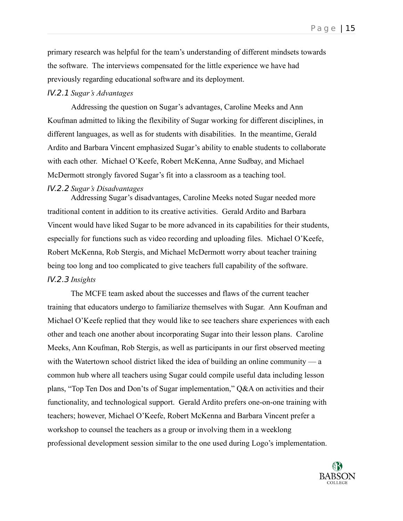primary research was helpful for the team's understanding of different mindsets towards the software. The interviews compensated for the little experience we have had previously regarding educational software and its deployment.

#### IV.2.1 *Sugar's Advantages*

Addressing the question on Sugar's advantages, Caroline Meeks and Ann Koufman admitted to liking the flexibility of Sugar working for different disciplines, in different languages, as well as for students with disabilities. In the meantime, Gerald Ardito and Barbara Vincent emphasized Sugar's ability to enable students to collaborate with each other. Michael O'Keefe, Robert McKenna, Anne Sudbay, and Michael McDermott strongly favored Sugar's fit into a classroom as a teaching tool.

#### IV.2.2 *Sugar's Disadvantages*

Addressing Sugar's disadvantages, Caroline Meeks noted Sugar needed more traditional content in addition to its creative activities. Gerald Ardito and Barbara Vincent would have liked Sugar to be more advanced in its capabilities for their students, especially for functions such as video recording and uploading files. Michael O'Keefe, Robert McKenna, Rob Stergis, and Michael McDermott worry about teacher training being too long and too complicated to give teachers full capability of the software. IV.2.3 *Insights*

The MCFE team asked about the successes and flaws of the current teacher training that educators undergo to familiarize themselves with Sugar. Ann Koufman and Michael O'Keefe replied that they would like to see teachers share experiences with each other and teach one another about incorporating Sugar into their lesson plans. Caroline Meeks, Ann Koufman, Rob Stergis, as well as participants in our first observed meeting with the Watertown school district liked the idea of building an online community — a common hub where all teachers using Sugar could compile useful data including lesson plans, "Top Ten Dos and Don'ts of Sugar implementation," Q&A on activities and their functionality, and technological support. Gerald Ardito prefers one-on-one training with teachers; however, Michael O'Keefe, Robert McKenna and Barbara Vincent prefer a workshop to counsel the teachers as a group or involving them in a weeklong professional development session similar to the one used during Logo's implementation.

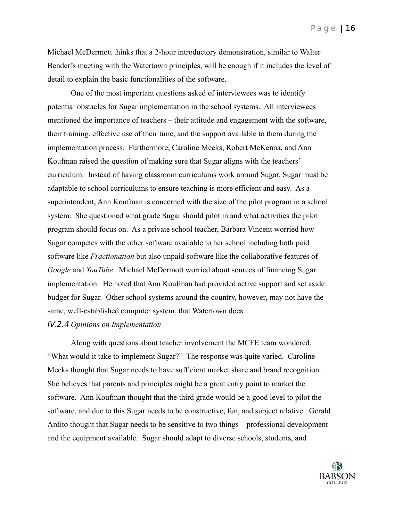Michael McDermott thinks that a 2-hour introductory demonstration, similar to Walter Bender's meeting with the Watertown principles, will be enough if it includes the level of detail to explain the basic functionalities of the software.

One of the most important questions asked of interviewees was to identify potential obstacles for Sugar implementation in the school systems. All interviewees mentioned the importance of teachers – their attitude and engagement with the software, their training, effective use of their time, and the support available to them during the implementation process. Furthermore, Caroline Meeks, Robert McKenna, and Ann Koufman raised the question of making sure that Sugar aligns with the teachers' curriculum. Instead of having classroom curriculums work around Sugar, Sugar must be adaptable to school curriculums to ensure teaching is more efficient and easy. As a superintendent, Ann Koufman is concerned with the size of the pilot program in a school system. She questioned what grade Sugar should pilot in and what activities the pilot program should focus on. As a private school teacher, Barbara Vincent worried how Sugar competes with the other software available to her school including both paid software like *Fractionation* but also unpaid software like the collaborative features of *Google* and *YouTube*. Michael McDermott worried about sources of financing Sugar implementation. He noted that Ann Koufman had provided active support and set aside budget for Sugar. Other school systems around the country, however, may not have the same, well-established computer system, that Watertown does.

#### IV.2.4 *Opinions on Implementation*

Along with questions about teacher involvement the MCFE team wondered, "What would it take to implement Sugar?" The response was quite varied. Caroline Meeks thought that Sugar needs to have sufficient market share and brand recognition. She believes that parents and principles might be a great entry point to market the software. Ann Koufman thought that the third grade would be a good level to pilot the software, and due to this Sugar needs to be constructive, fun, and subject relative. Gerald Ardito thought that Sugar needs to be sensitive to two things – professional development and the equipment available. Sugar should adapt to diverse schools, students, and

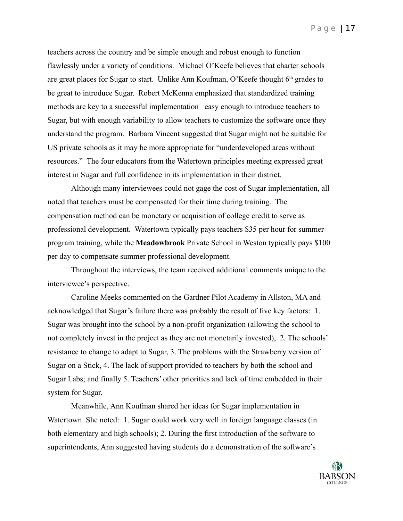teachers across the country and be simple enough and robust enough to function flawlessly under a variety of conditions. Michael O'Keefe believes that charter schools are great places for Sugar to start. Unlike Ann Koufman, O'Keefe thought  $6<sup>th</sup>$  grades to be great to introduce Sugar. Robert McKenna emphasized that standardized training methods are key to a successful implementation– easy enough to introduce teachers to Sugar, but with enough variability to allow teachers to customize the software once they understand the program. Barbara Vincent suggested that Sugar might not be suitable for US private schools as it may be more appropriate for "underdeveloped areas without resources." The four educators from the Watertown principles meeting expressed great interest in Sugar and full confidence in its implementation in their district.

Although many interviewees could not gage the cost of Sugar implementation, all noted that teachers must be compensated for their time during training. The compensation method can be monetary or acquisition of college credit to serve as professional development. Watertown typically pays teachers \$35 per hour for summer program training, while the **Meadowbrook** Private School in Weston typically pays \$100 per day to compensate summer professional development.

Throughout the interviews, the team received additional comments unique to the interviewee's perspective.

Caroline Meeks commented on the Gardner Pilot Academy in Allston, MA and acknowledged that Sugar's failure there was probably the result of five key factors: 1. Sugar was brought into the school by a non-profit organization (allowing the school to not completely invest in the project as they are not monetarily invested), 2. The schools' resistance to change to adapt to Sugar, 3. The problems with the Strawberry version of Sugar on a Stick, 4. The lack of support provided to teachers by both the school and Sugar Labs; and finally 5. Teachers' other priorities and lack of time embedded in their system for Sugar.

Meanwhile, Ann Koufman shared her ideas for Sugar implementation in Watertown. She noted: 1. Sugar could work very well in foreign language classes (in both elementary and high schools); 2. During the first introduction of the software to superintendents, Ann suggested having students do a demonstration of the software's

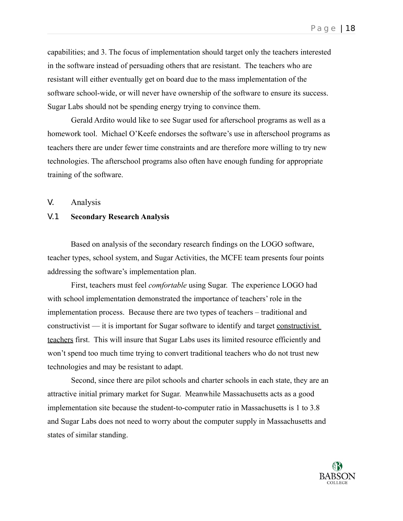capabilities; and 3. The focus of implementation should target only the teachers interested in the software instead of persuading others that are resistant. The teachers who are resistant will either eventually get on board due to the mass implementation of the software school-wide, or will never have ownership of the software to ensure its success. Sugar Labs should not be spending energy trying to convince them.

Gerald Ardito would like to see Sugar used for afterschool programs as well as a homework tool. Michael O'Keefe endorses the software's use in afterschool programs as teachers there are under fewer time constraints and are therefore more willing to try new technologies. The afterschool programs also often have enough funding for appropriate training of the software.

#### V. Analysis

#### V.1 **Secondary Research Analysis**

Based on analysis of the secondary research findings on the LOGO software, teacher types, school system, and Sugar Activities, the MCFE team presents four points addressing the software's implementation plan.

First, teachers must feel *comfortable* using Sugar. The experience LOGO had with school implementation demonstrated the importance of teachers' role in the implementation process. Because there are two types of teachers – traditional and constructivist — it is important for Sugar software to identify and target constructivist teachers first. This will insure that Sugar Labs uses its limited resource efficiently and won't spend too much time trying to convert traditional teachers who do not trust new technologies and may be resistant to adapt.

Second, since there are pilot schools and charter schools in each state, they are an attractive initial primary market for Sugar. Meanwhile Massachusetts acts as a good implementation site because the student-to-computer ratio in Massachusetts is 1 to 3.8 and Sugar Labs does not need to worry about the computer supply in Massachusetts and states of similar standing.

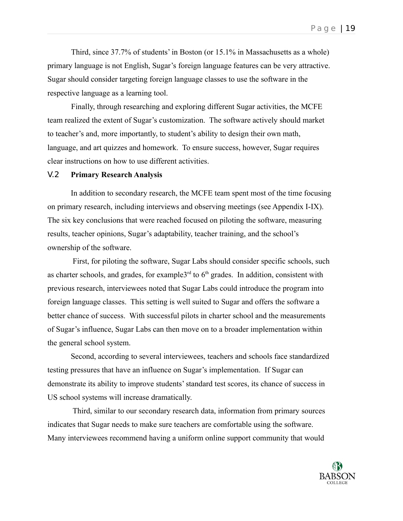Third, since 37.7% of students' in Boston (or 15.1% in Massachusetts as a whole) primary language is not English, Sugar's foreign language features can be very attractive. Sugar should consider targeting foreign language classes to use the software in the respective language as a learning tool.

Finally, through researching and exploring different Sugar activities, the MCFE team realized the extent of Sugar's customization. The software actively should market to teacher's and, more importantly, to student's ability to design their own math, language, and art quizzes and homework. To ensure success, however, Sugar requires clear instructions on how to use different activities.

#### V.2 **Primary Research Analysis**

In addition to secondary research, the MCFE team spent most of the time focusing on primary research, including interviews and observing meetings (see Appendix I-IX). The six key conclusions that were reached focused on piloting the software, measuring results, teacher opinions, Sugar's adaptability, teacher training, and the school's ownership of the software.

 First, for piloting the software, Sugar Labs should consider specific schools, such as charter schools, and grades, for example $3<sup>rd</sup>$  to  $6<sup>th</sup>$  grades. In addition, consistent with previous research, interviewees noted that Sugar Labs could introduce the program into foreign language classes. This setting is well suited to Sugar and offers the software a better chance of success. With successful pilots in charter school and the measurements of Sugar's influence, Sugar Labs can then move on to a broader implementation within the general school system.

Second, according to several interviewees, teachers and schools face standardized testing pressures that have an influence on Sugar's implementation. If Sugar can demonstrate its ability to improve students' standard test scores, its chance of success in US school systems will increase dramatically.

 Third, similar to our secondary research data, information from primary sources indicates that Sugar needs to make sure teachers are comfortable using the software. Many interviewees recommend having a uniform online support community that would

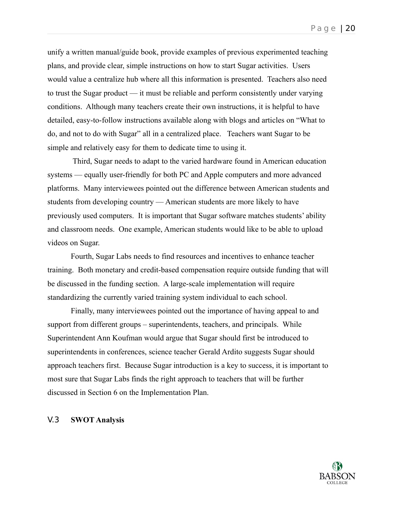unify a written manual/guide book, provide examples of previous experimented teaching plans, and provide clear, simple instructions on how to start Sugar activities. Users would value a centralize hub where all this information is presented. Teachers also need to trust the Sugar product — it must be reliable and perform consistently under varying conditions. Although many teachers create their own instructions, it is helpful to have detailed, easy-to-follow instructions available along with blogs and articles on "What to do, and not to do with Sugar" all in a centralized place. Teachers want Sugar to be simple and relatively easy for them to dedicate time to using it.

 Third, Sugar needs to adapt to the varied hardware found in American education systems — equally user-friendly for both PC and Apple computers and more advanced platforms. Many interviewees pointed out the difference between American students and students from developing country — American students are more likely to have previously used computers. It is important that Sugar software matches students' ability and classroom needs. One example, American students would like to be able to upload videos on Sugar.

Fourth, Sugar Labs needs to find resources and incentives to enhance teacher training. Both monetary and credit-based compensation require outside funding that will be discussed in the funding section. A large-scale implementation will require standardizing the currently varied training system individual to each school.

Finally, many interviewees pointed out the importance of having appeal to and support from different groups – superintendents, teachers, and principals. While Superintendent Ann Koufman would argue that Sugar should first be introduced to superintendents in conferences, science teacher Gerald Ardito suggests Sugar should approach teachers first. Because Sugar introduction is a key to success, it is important to most sure that Sugar Labs finds the right approach to teachers that will be further discussed in Section 6 on the Implementation Plan.

#### V.3 **SWOT Analysis**

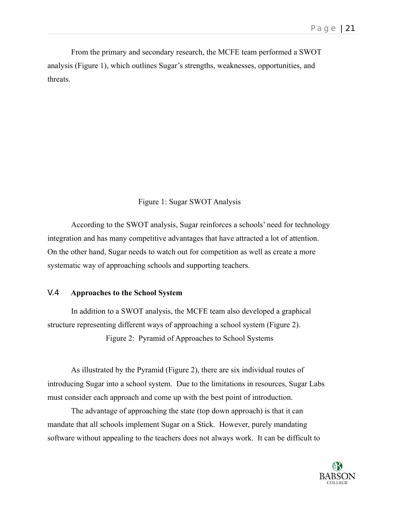From the primary and secondary research, the MCFE team performed a SWOT analysis (Figure 1), which outlines Sugar's strengths, weaknesses, opportunities, and threats.

#### Figure 1: Sugar SWOT Analysis

According to the SWOT analysis, Sugar reinforces a schools' need for technology integration and has many competitive advantages that have attracted a lot of attention. On the other hand, Sugar needs to watch out for competition as well as create a more systematic way of approaching schools and supporting teachers.

## V.4 **Approaches to the School System**

In addition to a SWOT analysis, the MCFE team also developed a graphical structure representing different ways of approaching a school system (Figure 2).

Figure 2: Pyramid of Approaches to School Systems

As illustrated by the Pyramid (Figure 2), there are six individual routes of introducing Sugar into a school system. Due to the limitations in resources, Sugar Labs must consider each approach and come up with the best point of introduction.

The advantage of approaching the state (top down approach) is that it can mandate that all schools implement Sugar on a Stick. However, purely mandating software without appealing to the teachers does not always work. It can be difficult to

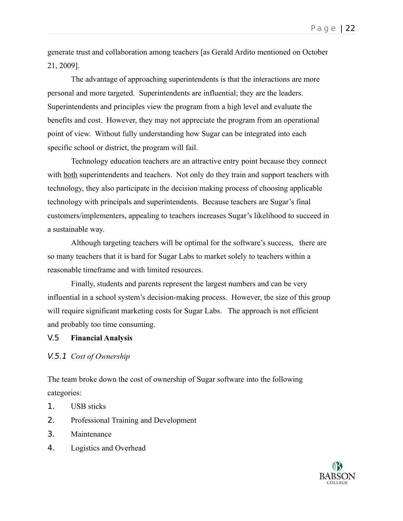generate trust and collaboration among teachers [as Gerald Ardito mentioned on October 21, 2009].

The advantage of approaching superintendents is that the interactions are more personal and more targeted. Superintendents are influential; they are the leaders. Superintendents and principles view the program from a high level and evaluate the benefits and cost. However, they may not appreciate the program from an operational point of view. Without fully understanding how Sugar can be integrated into each specific school or district, the program will fail.

Technology education teachers are an attractive entry point because they connect with both superintendents and teachers. Not only do they train and support teachers with technology, they also participate in the decision making process of choosing applicable technology with principals and superintendents. Because teachers are Sugar's final customers/implementers, appealing to teachers increases Sugar's likelihood to succeed in a sustainable way.

Although targeting teachers will be optimal for the software's success, there are so many teachers that it is hard for Sugar Labs to market solely to teachers within a reasonable timeframe and with limited resources.

Finally, students and parents represent the largest numbers and can be very influential in a school system's decision-making process. However, the size of this group will require significant marketing costs for Sugar Labs. The approach is not efficient and probably too time consuming.

## V.5 **Financial Analysis**

#### V.5.1 *Cost of Ownership*

The team broke down the cost of ownership of Sugar software into the following categories:

- 1. USB sticks
- 2. Professional Training and Development
- 3. Maintenance
- 4. Logistics and Overhead

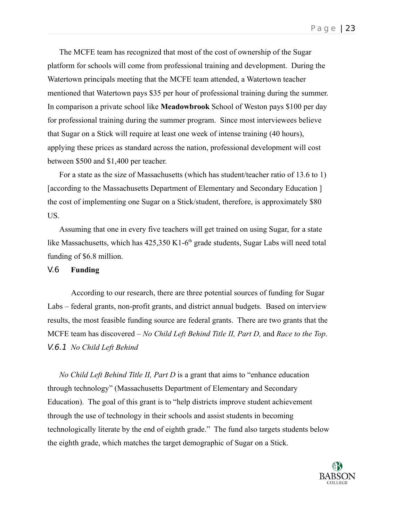The MCFE team has recognized that most of the cost of ownership of the Sugar platform for schools will come from professional training and development. During the Watertown principals meeting that the MCFE team attended, a Watertown teacher mentioned that Watertown pays \$35 per hour of professional training during the summer. In comparison a private school like **Meadowbrook** School of Weston pays \$100 per day for professional training during the summer program. Since most interviewees believe that Sugar on a Stick will require at least one week of intense training (40 hours), applying these prices as standard across the nation, professional development will cost between \$500 and \$1,400 per teacher.

For a state as the size of Massachusetts (which has student/teacher ratio of 13.6 to 1) [according to the Massachusetts Department of Elementary and Secondary Education ] the cost of implementing one Sugar on a Stick/student, therefore, is approximately \$80 US.

Assuming that one in every five teachers will get trained on using Sugar, for a state like Massachusetts, which has  $425,350 \text{ K}1-6^{\text{th}}$  grade students, Sugar Labs will need total funding of \$6.8 million.

## V.6 **Funding**

According to our research, there are three potential sources of funding for Sugar Labs – federal grants, non-profit grants, and district annual budgets. Based on interview results, the most feasible funding source are federal grants. There are two grants that the MCFE team has discovered – *No Child Left Behind Title II, Part D,* and *Race to the Top*. V.6.1 *No Child Left Behind*

*No Child Left Behind Title II, Part D* is a grant that aims to "enhance education through technology" (Massachusetts Department of Elementary and Secondary Education). The goal of this grant is to "help districts improve student achievement through the use of technology in their schools and assist students in becoming technologically literate by the end of eighth grade." The fund also targets students below the eighth grade, which matches the target demographic of Sugar on a Stick.

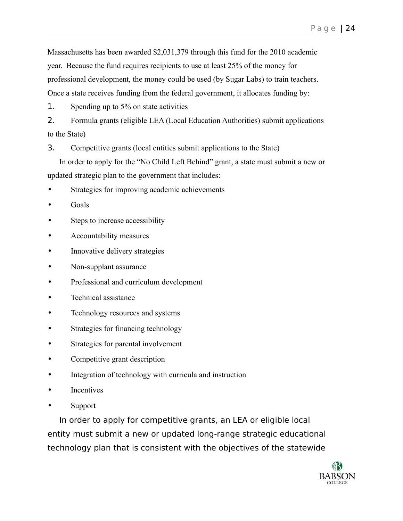Massachusetts has been awarded \$2,031,379 through this fund for the 2010 academic year. Because the fund requires recipients to use at least 25% of the money for professional development, the money could be used (by Sugar Labs) to train teachers. Once a state receives funding from the federal government, it allocates funding by:

1. Spending up to 5% on state activities

2. Formula grants (eligible LEA (Local Education Authorities) submit applications to the State)

3. Competitive grants (local entities submit applications to the State)

In order to apply for the "No Child Left Behind" grant, a state must submit a new or updated strategic plan to the government that includes:

- Strategies for improving academic achievements
- Goals
- Steps to increase accessibility
- Accountability measures
- Innovative delivery strategies
- Non-supplant assurance
- Professional and curriculum development
- Technical assistance
- Technology resources and systems
- Strategies for financing technology
- Strategies for parental involvement
- Competitive grant description
- Integration of technology with curricula and instruction
- **Incentives**
- Support

In order to apply for competitive grants, an LEA or eligible local entity must submit a new or updated long-range strategic educational technology plan that is consistent with the objectives of the statewide

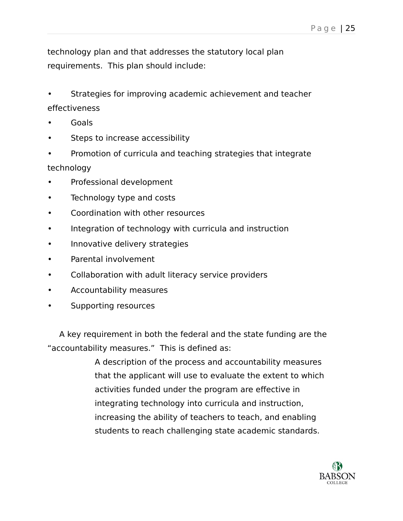technology plan and that addresses the statutory local plan requirements. This plan should include:

Strategies for improving academic achievement and teacher

effectiveness

- Goals
- Steps to increase accessibility
- Promotion of curricula and teaching strategies that integrate technology
- Professional development
- Technology type and costs
- Coordination with other resources
- Integration of technology with curricula and instruction
- Innovative delivery strategies
- Parental involvement
- Collaboration with adult literacy service providers
- Accountability measures
- Supporting resources

A key requirement in both the federal and the state funding are the "accountability measures." This is defined as:

> A description of the process and accountability measures that the applicant will use to evaluate the extent to which activities funded under the program are effective in integrating technology into curricula and instruction, increasing the ability of teachers to teach, and enabling students to reach challenging state academic standards.

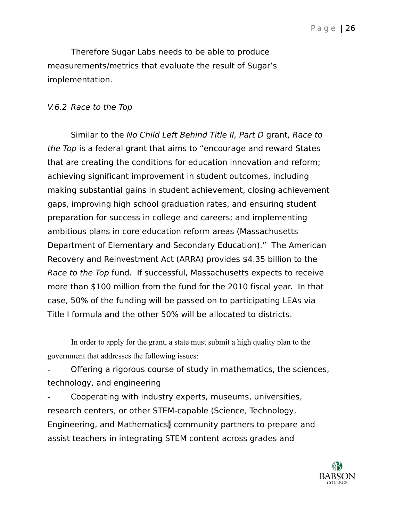Therefore Sugar Labs needs to be able to produce measurements/metrics that evaluate the result of Sugar's implementation.

## V.6.2 Race to the Top

Similar to the No Child Left Behind Title II, Part D grant, Race to the Top is a federal grant that aims to "encourage and reward States that are creating the conditions for education innovation and reform; achieving significant improvement in student outcomes, including making substantial gains in student achievement, closing achievement gaps, improving high school graduation rates, and ensuring student preparation for success in college and careers; and implementing ambitious plans in core education reform areas (Massachusetts Department of Elementary and Secondary Education)." The American Recovery and Reinvestment Act (ARRA) provides \$4.35 billion to the Race to the Top fund. If successful, Massachusetts expects to receive more than \$100 million from the fund for the 2010 fiscal year. In that case, 50% of the funding will be passed on to participating LEAs via Title I formula and the other 50% will be allocated to districts.

In order to apply for the grant, a state must submit a high quality plan to the government that addresses the following issues:

Offering a rigorous course of study in mathematics, the sciences, technology, and engineering

Cooperating with industry experts, museums, universities, research centers, or other STEM-capable (Science, Technology, Engineering, and Mathematics) community partners to prepare and assist teachers in integrating STEM content across grades and

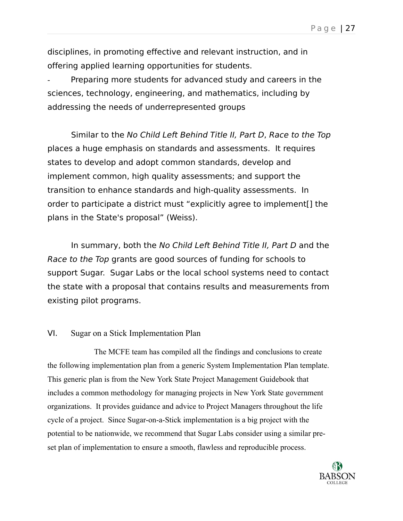disciplines, in promoting effective and relevant instruction, and in offering applied learning opportunities for students.

Preparing more students for advanced study and careers in the sciences, technology, engineering, and mathematics, including by addressing the needs of underrepresented groups

Similar to the No Child Left Behind Title II, Part D, Race to the Top places a huge emphasis on standards and assessments. It requires states to develop and adopt common standards, develop and implement common, high quality assessments; and support the transition to enhance standards and high-quality assessments. In order to participate a district must "explicitly agree to implement[] the plans in the State's proposal" (Weiss).

In summary, both the No Child Left Behind Title II, Part D and the Race to the Top grants are good sources of funding for schools to support Sugar. Sugar Labs or the local school systems need to contact the state with a proposal that contains results and measurements from existing pilot programs.

## VI. Sugar on a Stick Implementation Plan

The MCFE team has compiled all the findings and conclusions to create the following implementation plan from a generic System Implementation Plan template. This generic plan is from the New York State Project Management Guidebook that includes a common methodology for managing projects in New York State government organizations. It provides guidance and advice to Project Managers throughout the life cycle of a project. Since Sugar-on-a-Stick implementation is a big project with the potential to be nationwide, we recommend that Sugar Labs consider using a similar preset plan of implementation to ensure a smooth, flawless and reproducible process.

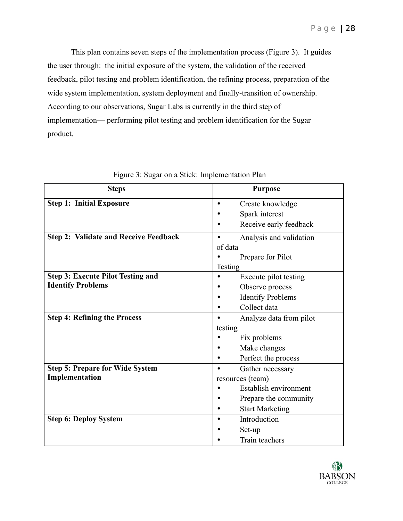This plan contains seven steps of the implementation process (Figure 3). It guides the user through: the initial exposure of the system, the validation of the received feedback, pilot testing and problem identification, the refining process, preparation of the wide system implementation, system deployment and finally-transition of ownership. According to our observations, Sugar Labs is currently in the third step of implementation— performing pilot testing and problem identification for the Sugar product.

| <b>Steps</b>                                 | <b>Purpose</b>                     |
|----------------------------------------------|------------------------------------|
| <b>Step 1: Initial Exposure</b>              | Create knowledge<br>$\bullet$      |
|                                              | Spark interest                     |
|                                              | Receive early feedback             |
| <b>Step 2: Validate and Receive Feedback</b> | Analysis and validation            |
|                                              | of data                            |
|                                              | Prepare for Pilot                  |
|                                              | Testing                            |
| <b>Step 3: Execute Pilot Testing and</b>     | Execute pilot testing<br>$\bullet$ |
| <b>Identify Problems</b>                     | Observe process                    |
|                                              | <b>Identify Problems</b>           |
|                                              | Collect data                       |
| <b>Step 4: Refining the Process</b>          | Analyze data from pilot            |
|                                              | testing                            |
|                                              | Fix problems                       |
|                                              | Make changes                       |
|                                              | Perfect the process                |
| <b>Step 5: Prepare for Wide System</b>       | Gather necessary<br>$\bullet$      |
| Implementation                               | resources (team)                   |
|                                              | Establish environment              |
|                                              | Prepare the community              |
|                                              | <b>Start Marketing</b>             |
| <b>Step 6: Deploy System</b>                 | Introduction                       |
|                                              | Set-up                             |
|                                              | Train teachers                     |

Figure 3: Sugar on a Stick: Implementation Plan

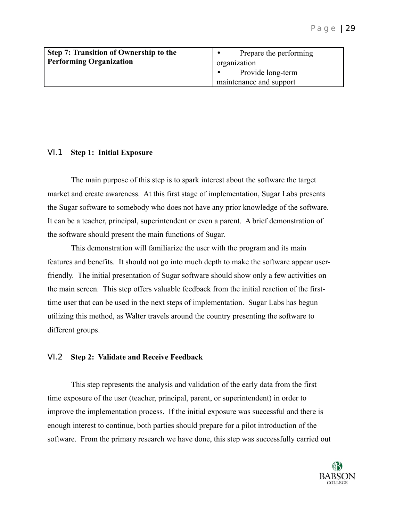| <b>Step 7: Transition of Ownership to the</b> | Prepare the performing                       |
|-----------------------------------------------|----------------------------------------------|
| <b>Performing Organization</b>                | organization                                 |
|                                               | Provide long-term<br>maintenance and support |

## VI.1 **Step 1: Initial Exposure**

The main purpose of this step is to spark interest about the software the target market and create awareness. At this first stage of implementation, Sugar Labs presents the Sugar software to somebody who does not have any prior knowledge of the software. It can be a teacher, principal, superintendent or even a parent. A brief demonstration of the software should present the main functions of Sugar.

This demonstration will familiarize the user with the program and its main features and benefits. It should not go into much depth to make the software appear userfriendly. The initial presentation of Sugar software should show only a few activities on the main screen. This step offers valuable feedback from the initial reaction of the firsttime user that can be used in the next steps of implementation. Sugar Labs has begun utilizing this method, as Walter travels around the country presenting the software to different groups.

## VI.2 **Step 2: Validate and Receive Feedback**

This step represents the analysis and validation of the early data from the first time exposure of the user (teacher, principal, parent, or superintendent) in order to improve the implementation process. If the initial exposure was successful and there is enough interest to continue, both parties should prepare for a pilot introduction of the software. From the primary research we have done, this step was successfully carried out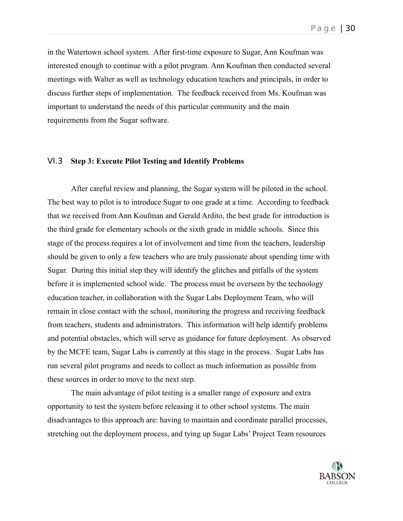in the Watertown school system. After first-time exposure to Sugar, Ann Koufman was interested enough to continue with a pilot program. Ann Koufman then conducted several meetings with Walter as well as technology education teachers and principals, in order to discuss further steps of implementation. The feedback received from Ms. Koufman was important to understand the needs of this particular community and the main requirements from the Sugar software.

## VI.3 **Step 3: Execute Pilot Testing and Identify Problems**

After careful review and planning, the Sugar system will be piloted in the school. The best way to pilot is to introduce Sugar to one grade at a time. According to feedback that we received from Ann Koufman and Gerald Ardito, the best grade for introduction is the third grade for elementary schools or the sixth grade in middle schools. Since this stage of the process requires a lot of involvement and time from the teachers, leadership should be given to only a few teachers who are truly passionate about spending time with Sugar. During this initial step they will identify the glitches and pitfalls of the system before it is implemented school wide. The process must be overseen by the technology education teacher, in collaboration with the Sugar Labs Deployment Team, who will remain in close contact with the school, monitoring the progress and receiving feedback from teachers, students and administrators. This information will help identify problems and potential obstacles, which will serve as guidance for future deployment. As observed by the MCFE team, Sugar Labs is currently at this stage in the process. Sugar Labs has run several pilot programs and needs to collect as much information as possible from these sources in order to move to the next step.

The main advantage of pilot testing is a smaller range of exposure and extra opportunity to test the system before releasing it to other school systems. The main disadvantages to this approach are: having to maintain and coordinate parallel processes, stretching out the deployment process, and tying up Sugar Labs' Project Team resources

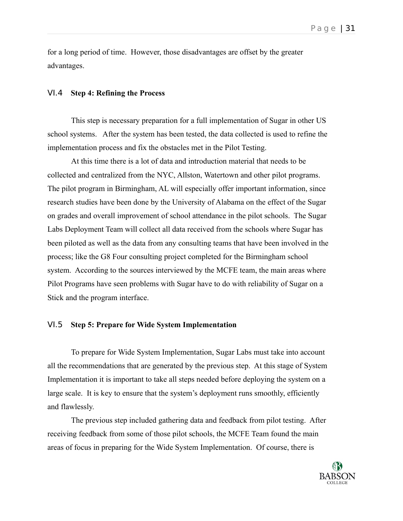for a long period of time. However, those disadvantages are offset by the greater advantages.

## VI.4 **Step 4: Refining the Process**

This step is necessary preparation for a full implementation of Sugar in other US school systems. After the system has been tested, the data collected is used to refine the implementation process and fix the obstacles met in the Pilot Testing.

At this time there is a lot of data and introduction material that needs to be collected and centralized from the NYC, Allston, Watertown and other pilot programs. The pilot program in Birmingham, AL will especially offer important information, since research studies have been done by the University of Alabama on the effect of the Sugar on grades and overall improvement of school attendance in the pilot schools. The Sugar Labs Deployment Team will collect all data received from the schools where Sugar has been piloted as well as the data from any consulting teams that have been involved in the process; like the G8 Four consulting project completed for the Birmingham school system. According to the sources interviewed by the MCFE team, the main areas where Pilot Programs have seen problems with Sugar have to do with reliability of Sugar on a Stick and the program interface.

## VI.5 **Step 5: Prepare for Wide System Implementation**

To prepare for Wide System Implementation, Sugar Labs must take into account all the recommendations that are generated by the previous step. At this stage of System Implementation it is important to take all steps needed before deploying the system on a large scale. It is key to ensure that the system's deployment runs smoothly, efficiently and flawlessly.

The previous step included gathering data and feedback from pilot testing. After receiving feedback from some of those pilot schools, the MCFE Team found the main areas of focus in preparing for the Wide System Implementation. Of course, there is

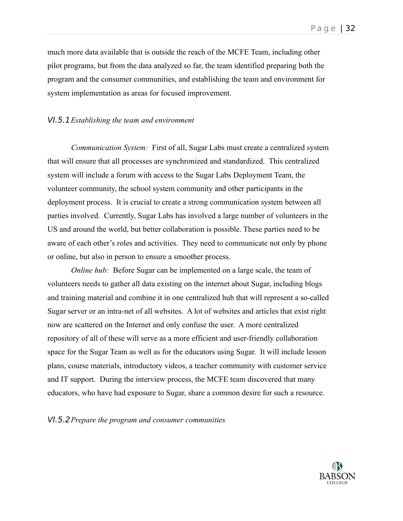much more data available that is outside the reach of the MCFE Team, including other pilot programs, but from the data analyzed so far, the team identified preparing both the program and the consumer communities, and establishing the team and environment for system implementation as areas for focused improvement.

#### VI.5.1*Establishing the team and environment*

*Communication System:* First of all, Sugar Labs must create a centralized system that will ensure that all processes are synchronized and standardized. This centralized system will include a forum with access to the Sugar Labs Deployment Team, the volunteer community, the school system community and other participants in the deployment process. It is crucial to create a strong communication system between all parties involved. Currently, Sugar Labs has involved a large number of volunteers in the US and around the world, but better collaboration is possible. These parties need to be aware of each other's roles and activities. They need to communicate not only by phone or online, but also in person to ensure a smoother process.

*Online hub:* Before Sugar can be implemented on a large scale, the team of volunteers needs to gather all data existing on the internet about Sugar, including blogs and training material and combine it in one centralized hub that will represent a so-called Sugar server or an intra-net of all websites. A lot of websites and articles that exist right now are scattered on the Internet and only confuse the user. A more centralized repository of all of these will serve as a more efficient and user-friendly collaboration space for the Sugar Team as well as for the educators using Sugar. It will include lesson plans, course materials, introductory videos, a teacher community with customer service and IT support. During the interview process, the MCFE team discovered that many educators, who have had exposure to Sugar, share a common desire for such a resource.

#### VI.5.2*Prepare the program and consumer communities*

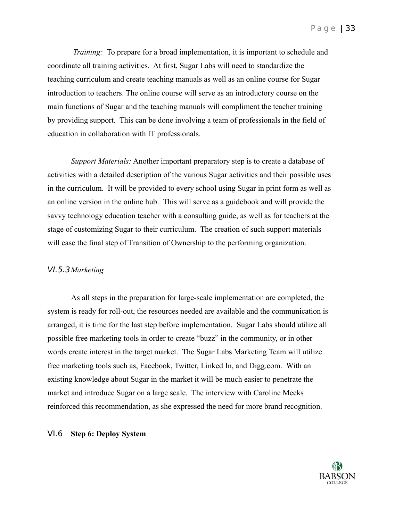*Training:* To prepare for a broad implementation, it is important to schedule and coordinate all training activities. At first, Sugar Labs will need to standardize the teaching curriculum and create teaching manuals as well as an online course for Sugar introduction to teachers. The online course will serve as an introductory course on the main functions of Sugar and the teaching manuals will compliment the teacher training by providing support. This can be done involving a team of professionals in the field of education in collaboration with IT professionals.

*Support Materials:* Another important preparatory step is to create a database of activities with a detailed description of the various Sugar activities and their possible uses in the curriculum. It will be provided to every school using Sugar in print form as well as an online version in the online hub. This will serve as a guidebook and will provide the savvy technology education teacher with a consulting guide, as well as for teachers at the stage of customizing Sugar to their curriculum. The creation of such support materials will ease the final step of Transition of Ownership to the performing organization.

#### VI.5.3*Marketing*

As all steps in the preparation for large-scale implementation are completed, the system is ready for roll-out, the resources needed are available and the communication is arranged, it is time for the last step before implementation. Sugar Labs should utilize all possible free marketing tools in order to create "buzz" in the community, or in other words create interest in the target market. The Sugar Labs Marketing Team will utilize free marketing tools such as, Facebook, Twitter, Linked In, and Digg.com. With an existing knowledge about Sugar in the market it will be much easier to penetrate the market and introduce Sugar on a large scale. The interview with Caroline Meeks reinforced this recommendation, as she expressed the need for more brand recognition.

#### VI.6 **Step 6: Deploy System**

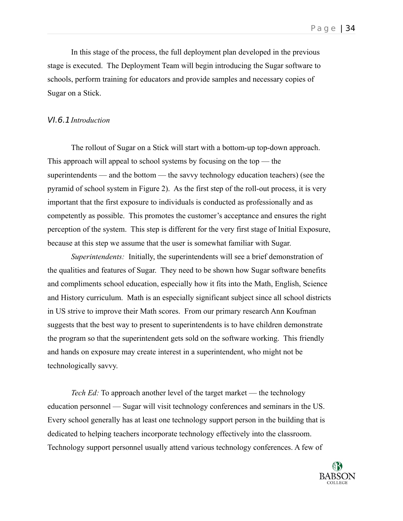In this stage of the process, the full deployment plan developed in the previous stage is executed. The Deployment Team will begin introducing the Sugar software to schools, perform training for educators and provide samples and necessary copies of Sugar on a Stick.

#### VI.6.1*Introduction*

The rollout of Sugar on a Stick will start with a bottom-up top-down approach. This approach will appeal to school systems by focusing on the top — the superintendents — and the bottom — the savvy technology education teachers) (see the pyramid of school system in Figure 2). As the first step of the roll-out process, it is very important that the first exposure to individuals is conducted as professionally and as competently as possible. This promotes the customer's acceptance and ensures the right perception of the system. This step is different for the very first stage of Initial Exposure, because at this step we assume that the user is somewhat familiar with Sugar.

*Superintendents:* Initially, the superintendents will see a brief demonstration of the qualities and features of Sugar. They need to be shown how Sugar software benefits and compliments school education, especially how it fits into the Math, English, Science and History curriculum. Math is an especially significant subject since all school districts in US strive to improve their Math scores. From our primary research Ann Koufman suggests that the best way to present to superintendents is to have children demonstrate the program so that the superintendent gets sold on the software working. This friendly and hands on exposure may create interest in a superintendent, who might not be technologically savvy.

*Tech Ed:* To approach another level of the target market — the technology education personnel — Sugar will visit technology conferences and seminars in the US. Every school generally has at least one technology support person in the building that is dedicated to helping teachers incorporate technology effectively into the classroom. Technology support personnel usually attend various technology conferences. A few of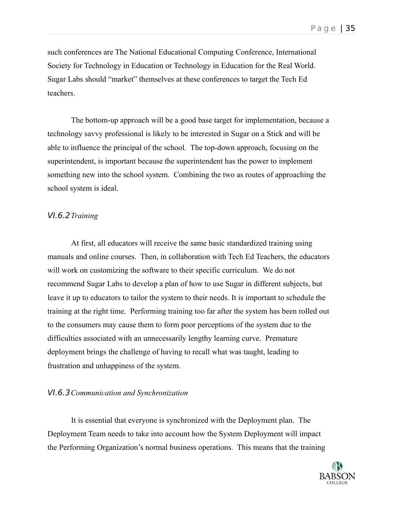such conferences are The National Educational Computing Conference, International Society for Technology in Education or Technology in Education for the Real World. Sugar Labs should "market" themselves at these conferences to target the Tech Ed teachers.

The bottom-up approach will be a good base target for implementation, because a technology savvy professional is likely to be interested in Sugar on a Stick and will be able to influence the principal of the school. The top-down approach, focusing on the superintendent, is important because the superintendent has the power to implement something new into the school system. Combining the two as routes of approaching the school system is ideal.

## VI.6.2*Training*

At first, all educators will receive the same basic standardized training using manuals and online courses. Then, in collaboration with Tech Ed Teachers, the educators will work on customizing the software to their specific curriculum. We do not recommend Sugar Labs to develop a plan of how to use Sugar in different subjects, but leave it up to educators to tailor the system to their needs. It is important to schedule the training at the right time. Performing training too far after the system has been rolled out to the consumers may cause them to form poor perceptions of the system due to the difficulties associated with an unnecessarily lengthy learning curve. Premature deployment brings the challenge of having to recall what was taught, leading to frustration and unhappiness of the system.

#### VI.6.3*Communication and Synchronization*

It is essential that everyone is synchronized with the Deployment plan. The Deployment Team needs to take into account how the System Deployment will impact the Performing Organization's normal business operations. This means that the training

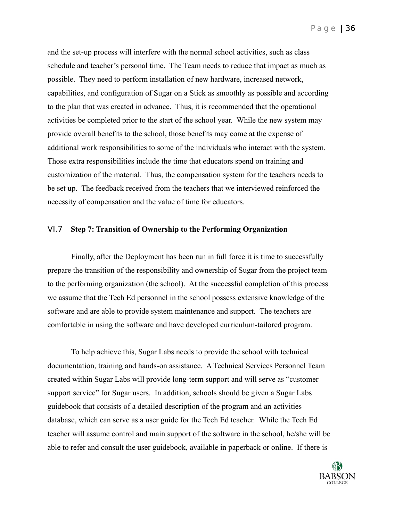Page | 36

and the set-up process will interfere with the normal school activities, such as class schedule and teacher's personal time. The Team needs to reduce that impact as much as possible. They need to perform installation of new hardware, increased network, capabilities, and configuration of Sugar on a Stick as smoothly as possible and according to the plan that was created in advance. Thus, it is recommended that the operational activities be completed prior to the start of the school year. While the new system may provide overall benefits to the school, those benefits may come at the expense of additional work responsibilities to some of the individuals who interact with the system. Those extra responsibilities include the time that educators spend on training and customization of the material. Thus, the compensation system for the teachers needs to be set up. The feedback received from the teachers that we interviewed reinforced the necessity of compensation and the value of time for educators.

## VI.7 **Step 7: Transition of Ownership to the Performing Organization**

Finally, after the Deployment has been run in full force it is time to successfully prepare the transition of the responsibility and ownership of Sugar from the project team to the performing organization (the school). At the successful completion of this process we assume that the Tech Ed personnel in the school possess extensive knowledge of the software and are able to provide system maintenance and support. The teachers are comfortable in using the software and have developed curriculum-tailored program.

To help achieve this, Sugar Labs needs to provide the school with technical documentation, training and hands-on assistance. A Technical Services Personnel Team created within Sugar Labs will provide long-term support and will serve as "customer support service" for Sugar users. In addition, schools should be given a Sugar Labs guidebook that consists of a detailed description of the program and an activities database, which can serve as a user guide for the Tech Ed teacher. While the Tech Ed teacher will assume control and main support of the software in the school, he/she will be able to refer and consult the user guidebook, available in paperback or online. If there is

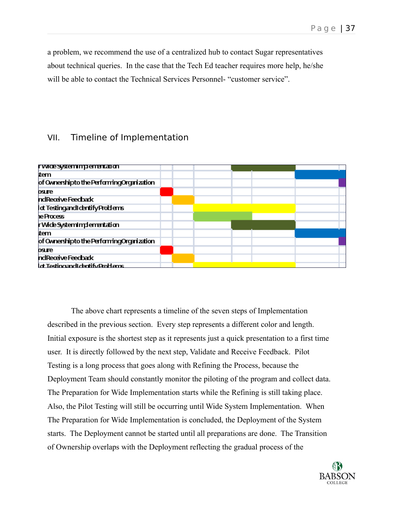a problem, we recommend the use of a centralized hub to contact Sugar representatives about technical queries. In the case that the Tech Ed teacher requires more help, he/she will be able to contact the Technical Services Personnel- "customer service".

## VII. Timeline of Implementation



The above chart represents a timeline of the seven steps of Implementation described in the previous section. Every step represents a different color and length. Initial exposure is the shortest step as it represents just a quick presentation to a first time user. It is directly followed by the next step, Validate and Receive Feedback. Pilot Testing is a long process that goes along with Refining the Process, because the Deployment Team should constantly monitor the piloting of the program and collect data. The Preparation for Wide Implementation starts while the Refining is still taking place. Also, the Pilot Testing will still be occurring until Wide System Implementation. When The Preparation for Wide Implementation is concluded, the Deployment of the System starts. The Deployment cannot be started until all preparations are done. The Transition of Ownership overlaps with the Deployment reflecting the gradual process of the

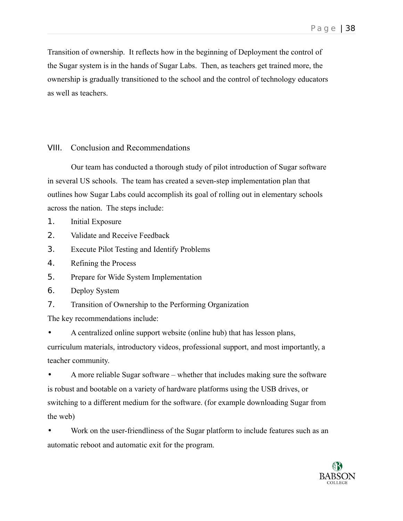Transition of ownership. It reflects how in the beginning of Deployment the control of the Sugar system is in the hands of Sugar Labs. Then, as teachers get trained more, the ownership is gradually transitioned to the school and the control of technology educators as well as teachers.

## VIII. Conclusion and Recommendations

Our team has conducted a thorough study of pilot introduction of Sugar software in several US schools. The team has created a seven-step implementation plan that outlines how Sugar Labs could accomplish its goal of rolling out in elementary schools across the nation. The steps include:

1. Initial Exposure

- 2. Validate and Receive Feedback
- 3. Execute Pilot Testing and Identify Problems
- 4. Refining the Process
- 5. Prepare for Wide System Implementation
- 6. Deploy System
- 7. Transition of Ownership to the Performing Organization

The key recommendations include:

• A centralized online support website (online hub) that has lesson plans,

curriculum materials, introductory videos, professional support, and most importantly, a teacher community.

• A more reliable Sugar software – whether that includes making sure the software is robust and bootable on a variety of hardware platforms using the USB drives, or switching to a different medium for the software. (for example downloading Sugar from the web)

Work on the user-friendliness of the Sugar platform to include features such as an automatic reboot and automatic exit for the program.

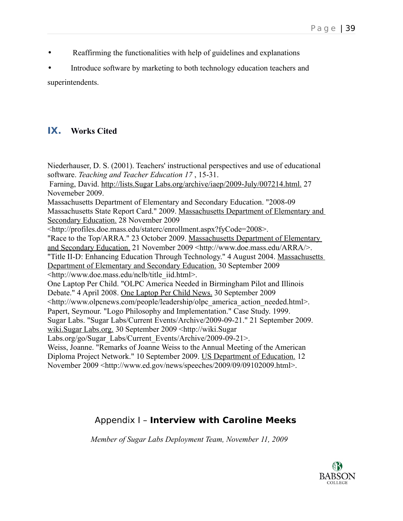- Reaffirming the functionalities with help of guidelines and explanations
- Introduce software by marketing to both technology education teachers and superintendents.

## **IX. Works Cited**

Niederhauser, D. S. (2001). Teachers' instructional perspectives and use of educational software. *Teaching and Teacher Education 17* , 15-31. Farning, David. http://lists.Sugar Labs.org/archive/iaep/2009-July/007214.html. 27 Novemeber 2009. Massachusetts Department of Elementary and Secondary Education. "2008-09 Massachusetts State Report Card." 2009. Massachusetts Department of Elementary and Secondary Education. 28 November 2009 <http://profiles.doe.mass.edu/staterc/enrollment.aspx?fyCode=2008>. "Race to the Top/ARRA." 23 October 2009. Massachusetts Department of Elementary and Secondary Education. 21 November 2009 <http://www.doe.mass.edu/ARRA/>. "Title II-D: Enhancing Education Through Technology." 4 August 2004. Massachusetts Department of Elementary and Secondary Education. 30 September 2009 <http://www.doe.mass.edu/nclb/title\_iid.html>. One Laptop Per Child. "OLPC America Needed in Birmingham Pilot and Illinois Debate." 4 April 2008. One Laptop Per Child News. 30 September 2009 <http://www.olpcnews.com/people/leadership/olpc\_america\_action\_needed.html>. Papert, Seymour. "Logo Philosophy and Implementation." Case Study. 1999. Sugar Labs. "Sugar Labs/Current Events/Archive/2009-09-21." 21 September 2009. wiki.Sugar Labs.org. 30 September 2009 <http://wiki.Sugar Labs.org/go/Sugar\_Labs/Current\_Events/Archive/2009-09-21>. Weiss, Joanne. "Remarks of Joanne Weiss to the Annual Meeting of the American Diploma Project Network." 10 September 2009. US Department of Education. 12 November 2009 <http://www.ed.gov/news/speeches/2009/09/09102009.html>.

# Appendix I – **Interview with Caroline Meeks**

*Member of Sugar Labs Deployment Team, November 11, 2009*

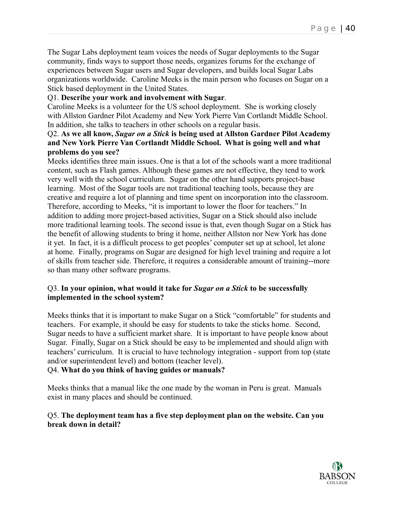The Sugar Labs deployment team voices the needs of Sugar deployments to the Sugar community, finds ways to support those needs, organizes forums for the exchange of experiences between Sugar users and Sugar developers, and builds local Sugar Labs organizations worldwide. Caroline Meeks is the main person who focuses on Sugar on a Stick based deployment in the United States.

## Q1. **Describe your work and involvement with Sugar**.

Caroline Meeks is a volunteer for the US school deployment. She is working closely with Allston Gardner Pilot Academy and New York Pierre Van Cortlandt Middle School. In addition, she talks to teachers in other schools on a regular basis.

## Q2. **As we all know,** *Sugar on a Stick* **is being used at Allston Gardner Pilot Academy and New York Pierre Van Cortlandt Middle School. What is going well and what problems do you see?**

Meeks identifies three main issues. One is that a lot of the schools want a more traditional content, such as Flash games. Although these games are not effective, they tend to work very well with the school curriculum. Sugar on the other hand supports project-base learning. Most of the Sugar tools are not traditional teaching tools, because they are creative and require a lot of planning and time spent on incorporation into the classroom. Therefore, according to Meeks, "it is important to lower the floor for teachers." In addition to adding more project-based activities, Sugar on a Stick should also include more traditional learning tools. The second issue is that, even though Sugar on a Stick has the benefit of allowing students to bring it home, neither Allston nor New York has done it yet. In fact, it is a difficult process to get peoples' computer set up at school, let alone at home. Finally, programs on Sugar are designed for high level training and require a lot of skills from teacher side. Therefore, it requires a considerable amount of training--more so than many other software programs.

## Q3. **In your opinion, what would it take for** *Sugar on a Stick* **to be successfully implemented in the school system?**

Meeks thinks that it is important to make Sugar on a Stick "comfortable" for students and teachers. For example, it should be easy for students to take the sticks home. Second, Sugar needs to have a sufficient market share. It is important to have people know about Sugar. Finally, Sugar on a Stick should be easy to be implemented and should align with teachers' curriculum. It is crucial to have technology integration - support from top (state and/or superintendent level) and bottom (teacher level).

## Q4. **What do you think of having guides or manuals?**

Meeks thinks that a manual like the one made by the woman in Peru is great. Manuals exist in many places and should be continued.

## Q5. **The deployment team has a five step deployment plan on the website. Can you break down in detail?**

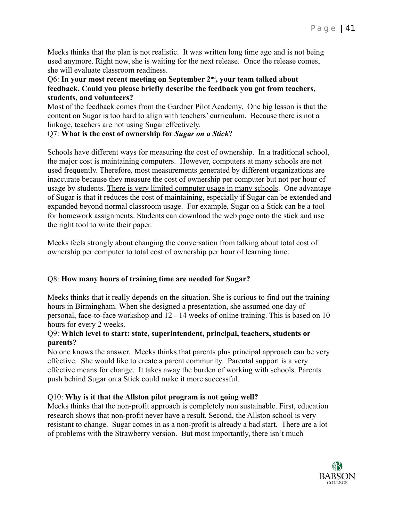Meeks thinks that the plan is not realistic. It was written long time ago and is not being used anymore. Right now, she is waiting for the next release. Once the release comes, she will evaluate classroom readiness.

## Q6: **In your most recent meeting on September 2nd, your team talked about feedback. Could you please briefly describe the feedback you got from teachers, students, and volunteers?**

Most of the feedback comes from the Gardner Pilot Academy. One big lesson is that the content on Sugar is too hard to align with teachers' curriculum. Because there is not a linkage, teachers are not using Sugar effectively.

## Q7: **What is the cost of ownership for** *Sugar on a Stick***?**

Schools have different ways for measuring the cost of ownership. In a traditional school, the major cost is maintaining computers. However, computers at many schools are not used frequently. Therefore, most measurements generated by different organizations are inaccurate because they measure the cost of ownership per computer but not per hour of usage by students. There is very limited computer usage in many schools. One advantage of Sugar is that it reduces the cost of maintaining, especially if Sugar can be extended and expanded beyond normal classroom usage. For example, Sugar on a Stick can be a tool for homework assignments. Students can download the web page onto the stick and use the right tool to write their paper.

Meeks feels strongly about changing the conversation from talking about total cost of ownership per computer to total cost of ownership per hour of learning time.

## Q8: **How many hours of training time are needed for Sugar?**

Meeks thinks that it really depends on the situation. She is curious to find out the training hours in Birmingham. When she designed a presentation, she assumed one day of personal, face-to-face workshop and 12 - 14 weeks of online training. This is based on 10 hours for every 2 weeks.

## Q9: **Which level to start: state, superintendent, principal, teachers, students or parents?**

No one knows the answer. Meeks thinks that parents plus principal approach can be very effective. She would like to create a parent community. Parental support is a very effective means for change. It takes away the burden of working with schools. Parents push behind Sugar on a Stick could make it more successful.

## Q10: **Why is it that the Allston pilot program is not going well?**

Meeks thinks that the non-profit approach is completely non sustainable. First, education research shows that non-profit never have a result. Second, the Allston school is very resistant to change. Sugar comes in as a non-profit is already a bad start. There are a lot of problems with the Strawberry version. But most importantly, there isn't much

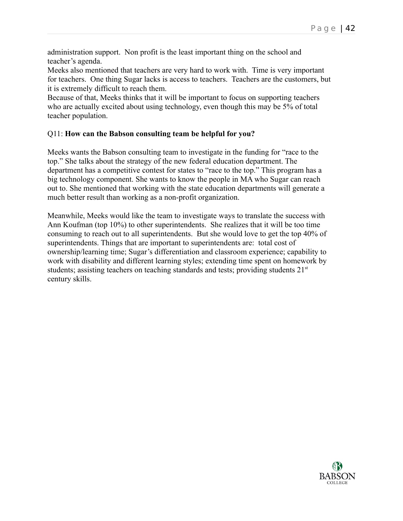administration support. Non profit is the least important thing on the school and teacher's agenda.

Meeks also mentioned that teachers are very hard to work with. Time is very important for teachers. One thing Sugar lacks is access to teachers. Teachers are the customers, but it is extremely difficult to reach them.

Because of that, Meeks thinks that it will be important to focus on supporting teachers who are actually excited about using technology, even though this may be 5% of total teacher population.

## Q11: **How can the Babson consulting team be helpful for you?**

Meeks wants the Babson consulting team to investigate in the funding for "race to the top." She talks about the strategy of the new federal education department. The department has a competitive contest for states to "race to the top." This program has a big technology component. She wants to know the people in MA who Sugar can reach out to. She mentioned that working with the state education departments will generate a much better result than working as a non-profit organization.

Meanwhile, Meeks would like the team to investigate ways to translate the success with Ann Koufman (top 10%) to other superintendents. She realizes that it will be too time consuming to reach out to all superintendents. But she would love to get the top 40% of superintendents. Things that are important to superintendents are: total cost of ownership/learning time; Sugar's differentiation and classroom experience; capability to work with disability and different learning styles; extending time spent on homework by students; assisting teachers on teaching standards and tests; providing students 21<sup>st</sup> century skills.

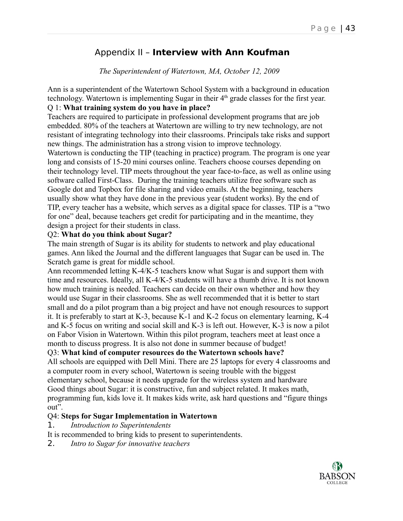# Appendix II – **Interview with Ann Koufman**

*The Superintendent of Watertown, MA, October 12, 2009*

Ann is a superintendent of the Watertown School System with a background in education technology. Watertown is implementing Sugar in their 4<sup>th</sup> grade classes for the first year. Q 1: **What training system do you have in place?**

Teachers are required to participate in professional development programs that are job embedded. 80% of the teachers at Watertown are willing to try new technology, are not resistant of integrating technology into their classrooms. Principals take risks and support new things. The administration has a strong vision to improve technology.

Watertown is conducting the TIP (teaching in practice) program. The program is one year long and consists of 15-20 mini courses online. Teachers choose courses depending on their technology level. TIP meets throughout the year face-to-face, as well as online using software called First-Class. During the training teachers utilize free software such as Google dot and Topbox for file sharing and video emails. At the beginning, teachers usually show what they have done in the previous year (student works). By the end of TIP, every teacher has a website, which serves as a digital space for classes. TIP is a "two for one" deal, because teachers get credit for participating and in the meantime, they design a project for their students in class.

## Q2: **What do you think about Sugar?**

The main strength of Sugar is its ability for students to network and play educational games. Ann liked the Journal and the different languages that Sugar can be used in. The Scratch game is great for middle school.

Ann recommended letting K-4/K-5 teachers know what Sugar is and support them with time and resources. Ideally, all K-4/K-5 students will have a thumb drive. It is not known how much training is needed. Teachers can decide on their own whether and how they would use Sugar in their classrooms. She as well recommended that it is better to start small and do a pilot program than a big project and have not enough resources to support it. It is preferably to start at K-3, because K-1 and K-2 focus on elementary learning, K-4 and K-5 focus on writing and social skill and K-3 is left out. However, K-3 is now a pilot on Fabor Vision in Watertown. Within this pilot program, teachers meet at least once a month to discuss progress. It is also not done in summer because of budget!

## Q3: **What kind of computer resources do the Watertown schools have?**

All schools are equipped with Dell Mini. There are 25 laptops for every 4 classrooms and a computer room in every school, Watertown is seeing trouble with the biggest elementary school, because it needs upgrade for the wireless system and hardware Good things about Sugar: it is constructive, fun and subject related. It makes math, programming fun, kids love it. It makes kids write, ask hard questions and "figure things out".

## Q4: **Steps for Sugar Implementation in Watertown**

## 1. *Introduction to Superintendents*

It is recommended to bring kids to present to superintendents.

2. *Intro to Sugar for innovative teachers*

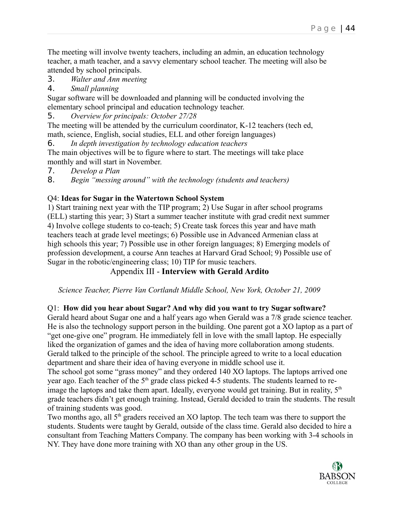The meeting will involve twenty teachers, including an admin, an education technology teacher, a math teacher, and a savvy elementary school teacher. The meeting will also be attended by school principals.

- 3. *Walter and Ann meeting*
- 4. *Small planning*

Sugar software will be downloaded and planning will be conducted involving the elementary school principal and education technology teacher.

5. *Overview for principals: October 27/28*

The meeting will be attended by the curriculum coordinator, K-12 teachers (tech ed, math, science, English, social studies, ELL and other foreign languages)

6. *In depth investigation by technology education teachers*

The main objectives will be to figure where to start. The meetings will take place monthly and will start in November.

- 7. *Develop a Plan*
- 8. *Begin "messing around" with the technology (students and teachers)*

## Q4: **Ideas for Sugar in the Watertown School System**

1) Start training next year with the TIP program; 2) Use Sugar in after school programs (ELL) starting this year; 3) Start a summer teacher institute with grad credit next summer 4) Involve college students to co-teach; 5) Create task forces this year and have math teachers teach at grade level meetings; 6) Possible use in Advanced Armenian class at high schools this year; 7) Possible use in other foreign languages; 8) Emerging models of profession development, a course Ann teaches at Harvard Grad School; 9) Possible use of Sugar in the robotic/engineering class; 10) TIP for music teachers.

## Appendix III - **Interview with Gerald Ardito**

*Science Teacher, Pierre Van Cortlandt Middle School, New York, October 21, 2009*

## Q1: **How did you hear about Sugar? And why did you want to try Sugar software?**

Gerald heard about Sugar one and a half years ago when Gerald was a 7/8 grade science teacher. He is also the technology support person in the building. One parent got a XO laptop as a part of "get one-give one" program. He immediately fell in love with the small laptop. He especially liked the organization of games and the idea of having more collaboration among students. Gerald talked to the principle of the school. The principle agreed to write to a local education department and share their idea of having everyone in middle school use it.

The school got some "grass money" and they ordered 140 XO laptops. The laptops arrived one year ago. Each teacher of the 5<sup>th</sup> grade class picked 4-5 students. The students learned to reimage the laptops and take them apart. Ideally, everyone would get training. But in reality,  $5<sup>th</sup>$ grade teachers didn't get enough training. Instead, Gerald decided to train the students. The result of training students was good.

Two months ago, all 5<sup>th</sup> graders received an XO laptop. The tech team was there to support the students. Students were taught by Gerald, outside of the class time. Gerald also decided to hire a consultant from Teaching Matters Company. The company has been working with 3-4 schools in NY. They have done more training with XO than any other group in the US.

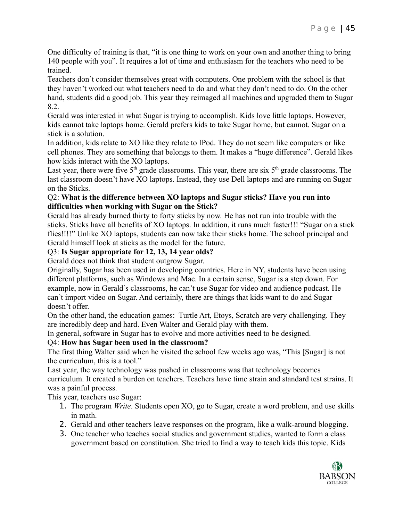One difficulty of training is that, "it is one thing to work on your own and another thing to bring 140 people with you". It requires a lot of time and enthusiasm for the teachers who need to be trained.

Teachers don't consider themselves great with computers. One problem with the school is that they haven't worked out what teachers need to do and what they don't need to do. On the other hand, students did a good job. This year they reimaged all machines and upgraded them to Sugar 8.2.

Gerald was interested in what Sugar is trying to accomplish. Kids love little laptops. However, kids cannot take laptops home. Gerald prefers kids to take Sugar home, but cannot. Sugar on a stick is a solution.

In addition, kids relate to XO like they relate to IPod. They do not seem like computers or like cell phones. They are something that belongs to them. It makes a "huge difference". Gerald likes how kids interact with the XO laptops.

Last year, there were five  $5<sup>th</sup>$  grade classrooms. This year, there are six  $5<sup>th</sup>$  grade classrooms. The last classroom doesn't have XO laptops. Instead, they use Dell laptops and are running on Sugar on the Sticks.

## Q2: **What is the difference between XO laptops and Sugar sticks? Have you run into difficulties when working with Sugar on the Stick?**

Gerald has already burned thirty to forty sticks by now. He has not run into trouble with the sticks. Sticks have all benefits of XO laptops. In addition, it runs much faster!!! "Sugar on a stick flies!!!!" Unlike XO laptops, students can now take their sticks home. The school principal and Gerald himself look at sticks as the model for the future.

## Q3: **Is Sugar appropriate for 12, 13, 14 year olds?**

Gerald does not think that student outgrow Sugar.

Originally, Sugar has been used in developing countries. Here in NY, students have been using different platforms, such as Windows and Mac. In a certain sense, Sugar is a step down. For example, now in Gerald's classrooms, he can't use Sugar for video and audience podcast. He can't import video on Sugar. And certainly, there are things that kids want to do and Sugar doesn't offer.

On the other hand, the education games: Turtle Art, Etoys, Scratch are very challenging. They are incredibly deep and hard. Even Walter and Gerald play with them.

In general, software in Sugar has to evolve and more activities need to be designed.

## Q4: **How has Sugar been used in the classroom?**

The first thing Walter said when he visited the school few weeks ago was, "This [Sugar] is not the curriculum, this is a tool."

Last year, the way technology was pushed in classrooms was that technology becomes curriculum. It created a burden on teachers. Teachers have time strain and standard test strains. It was a painful process.

This year, teachers use Sugar:

- 1. The program *Write*. Students open XO, go to Sugar, create a word problem, and use skills in math.
- 2. Gerald and other teachers leave responses on the program, like a walk-around blogging.
- 3. One teacher who teaches social studies and government studies, wanted to form a class government based on constitution. She tried to find a way to teach kids this topic. Kids

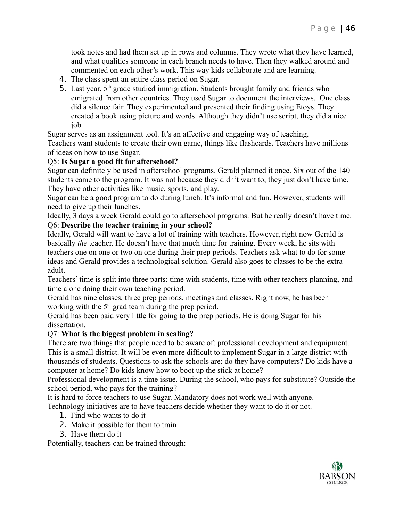took notes and had them set up in rows and columns. They wrote what they have learned, and what qualities someone in each branch needs to have. Then they walked around and commented on each other's work. This way kids collaborate and are learning.

- 4. The class spent an entire class period on Sugar.
- 5. Last year,  $5<sup>th</sup>$  grade studied immigration. Students brought family and friends who emigrated from other countries. They used Sugar to document the interviews. One class did a silence fair. They experimented and presented their finding using Etoys. They created a book using picture and words. Although they didn't use script, they did a nice job.

Sugar serves as an assignment tool. It's an affective and engaging way of teaching. Teachers want students to create their own game, things like flashcards. Teachers have millions of ideas on how to use Sugar.

## Q5: **Is Sugar a good fit for afterschool?**

Sugar can definitely be used in afterschool programs. Gerald planned it once. Six out of the 140 students came to the program. It was not because they didn't want to, they just don't have time. They have other activities like music, sports, and play.

Sugar can be a good program to do during lunch. It's informal and fun. However, students will need to give up their lunches.

Ideally, 3 days a week Gerald could go to afterschool programs. But he really doesn't have time. Q6: **Describe the teacher training in your school?**

Ideally, Gerald will want to have a lot of training with teachers. However, right now Gerald is basically *the* teacher. He doesn't have that much time for training. Every week, he sits with teachers one on one or two on one during their prep periods. Teachers ask what to do for some ideas and Gerald provides a technological solution. Gerald also goes to classes to be the extra adult.

Teachers' time is split into three parts: time with students, time with other teachers planning, and time alone doing their own teaching period.

Gerald has nine classes, three prep periods, meetings and classes. Right now, he has been working with the  $5<sup>th</sup>$  grad team during the prep period.

Gerald has been paid very little for going to the prep periods. He is doing Sugar for his dissertation.

## Q7: **What is the biggest problem in scaling?**

There are two things that people need to be aware of: professional development and equipment. This is a small district. It will be even more difficult to implement Sugar in a large district with thousands of students. Questions to ask the schools are: do they have computers? Do kids have a computer at home? Do kids know how to boot up the stick at home?

Professional development is a time issue. During the school, who pays for substitute? Outside the school period, who pays for the training?

It is hard to force teachers to use Sugar. Mandatory does not work well with anyone. Technology initiatives are to have teachers decide whether they want to do it or not.

- 1. Find who wants to do it
- 2. Make it possible for them to train
- 3. Have them do it

Potentially, teachers can be trained through:

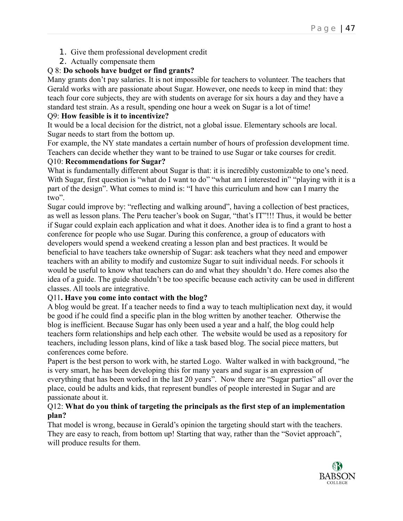- 1. Give them professional development credit
- 2. Actually compensate them

## Q 8: **Do schools have budget or find grants?**

Many grants don't pay salaries. It is not impossible for teachers to volunteer. The teachers that Gerald works with are passionate about Sugar. However, one needs to keep in mind that: they teach four core subjects, they are with students on average for six hours a day and they have a standard test strain. As a result, spending one hour a week on Sugar is a lot of time!

## Q9: **How feasible is it to incentivize?**

It would be a local decision for the district, not a global issue. Elementary schools are local. Sugar needs to start from the bottom up.

For example, the NY state mandates a certain number of hours of profession development time. Teachers can decide whether they want to be trained to use Sugar or take courses for credit.

## Q10: **Recommendations for Sugar?**

What is fundamentally different about Sugar is that: it is incredibly customizable to one's need. With Sugar, first question is "what do I want to do" "what am I interested in" "playing with it is a part of the design". What comes to mind is: "I have this curriculum and how can I marry the two".

Sugar could improve by: "reflecting and walking around", having a collection of best practices, as well as lesson plans. The Peru teacher's book on Sugar, "that's IT"!!! Thus, it would be better if Sugar could explain each application and what it does. Another idea is to find a grant to host a conference for people who use Sugar. During this conference, a group of educators with developers would spend a weekend creating a lesson plan and best practices. It would be beneficial to have teachers take ownership of Sugar: ask teachers what they need and empower teachers with an ability to modify and customize Sugar to suit individual needs. For schools it would be useful to know what teachers can do and what they shouldn't do. Here comes also the idea of a guide. The guide shouldn't be too specific because each activity can be used in different classes. All tools are integrative.

## Q11**. Have you come into contact with the blog?**

A blog would be great. If a teacher needs to find a way to teach multiplication next day, it would be good if he could find a specific plan in the blog written by another teacher. Otherwise the blog is inefficient. Because Sugar has only been used a year and a half, the blog could help teachers form relationships and help each other. The website would be used as a repository for teachers, including lesson plans, kind of like a task based blog. The social piece matters, but conferences come before.

Papert is the best person to work with, he started Logo. Walter walked in with background, "he is very smart, he has been developing this for many years and sugar is an expression of everything that has been worked in the last 20 years". Now there are "Sugar parties" all over the place, could be adults and kids, that represent bundles of people interested in Sugar and are passionate about it.

## Q12: **What do you think of targeting the principals as the first step of an implementation plan?**

That model is wrong, because in Gerald's opinion the targeting should start with the teachers. They are easy to reach, from bottom up! Starting that way, rather than the "Soviet approach", will produce results for them.

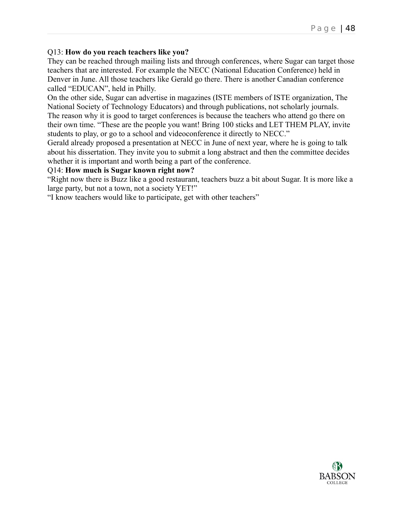## Q13: **How do you reach teachers like you?**

They can be reached through mailing lists and through conferences, where Sugar can target those teachers that are interested. For example the NECC (National Education Conference) held in Denver in June. All those teachers like Gerald go there. There is another Canadian conference called "EDUCAN", held in Philly.

On the other side, Sugar can advertise in magazines (ISTE members of ISTE organization, The National Society of Technology Educators) and through publications, not scholarly journals. The reason why it is good to target conferences is because the teachers who attend go there on their own time. "These are the people you want! Bring 100 sticks and LET THEM PLAY, invite students to play, or go to a school and videoconference it directly to NECC."

Gerald already proposed a presentation at NECC in June of next year, where he is going to talk about his dissertation. They invite you to submit a long abstract and then the committee decides whether it is important and worth being a part of the conference.

## Q14: **How much is Sugar known right now?**

"Right now there is Buzz like a good restaurant, teachers buzz a bit about Sugar. It is more like a large party, but not a town, not a society YET!"

"I know teachers would like to participate, get with other teachers"

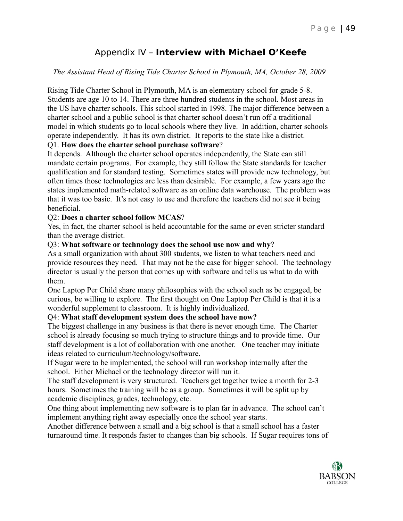# Appendix IV – **Interview with Michael O'Keefe**

## *The Assistant Head of Rising Tide Charter School in Plymouth, MA, October 28, 2009*

Rising Tide Charter School in Plymouth, MA is an elementary school for grade 5-8. Students are age 10 to 14. There are three hundred students in the school. Most areas in the US have charter schools. This school started in 1998. The major difference between a charter school and a public school is that charter school doesn't run off a traditional model in which students go to local schools where they live. In addition, charter schools operate independently. It has its own district. It reports to the state like a district.

## Q1. **How does the charter school purchase software**?

It depends. Although the charter school operates independently, the State can still mandate certain programs. For example, they still follow the State standards for teacher qualification and for standard testing. Sometimes states will provide new technology, but often times those technologies are less than desirable. For example, a few years ago the states implemented math-related software as an online data warehouse. The problem was that it was too basic. It's not easy to use and therefore the teachers did not see it being beneficial.

## Q2: **Does a charter school follow MCAS**?

Yes, in fact, the charter school is held accountable for the same or even stricter standard than the average district.

## Q3: **What software or technology does the school use now and why**?

As a small organization with about 300 students, we listen to what teachers need and provide resources they need. That may not be the case for bigger school. The technology director is usually the person that comes up with software and tells us what to do with them.

One Laptop Per Child share many philosophies with the school such as be engaged, be curious, be willing to explore. The first thought on One Laptop Per Child is that it is a wonderful supplement to classroom. It is highly individualized.

## Q4: **What staff development system does the school have now?**

The biggest challenge in any business is that there is never enough time. The Charter school is already focusing so much trying to structure things and to provide time. Our staff development is a lot of collaboration with one another. One teacher may initiate ideas related to curriculum/technology/software.

If Sugar were to be implemented, the school will run workshop internally after the school. Either Michael or the technology director will run it.

The staff development is very structured. Teachers get together twice a month for 2-3 hours. Sometimes the training will be as a group. Sometimes it will be split up by academic disciplines, grades, technology, etc.

One thing about implementing new software is to plan far in advance. The school can't implement anything right away especially once the school year starts.

Another difference between a small and a big school is that a small school has a faster turnaround time. It responds faster to changes than big schools. If Sugar requires tons of

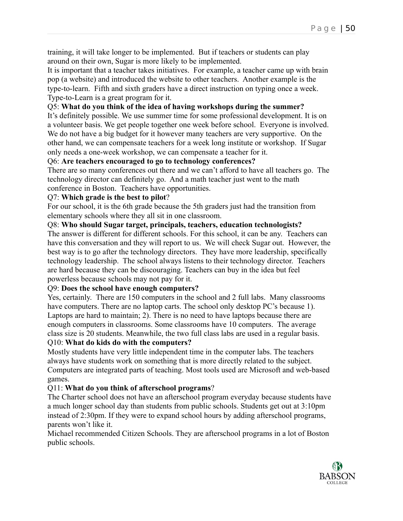training, it will take longer to be implemented. But if teachers or students can play around on their own, Sugar is more likely to be implemented.

It is important that a teacher takes initiatives. For example, a teacher came up with brain pop (a website) and introduced the website to other teachers. Another example is the type-to-learn. Fifth and sixth graders have a direct instruction on typing once a week. Type-to-Learn is a great program for it.

## Q5: **What do you think of the idea of having workshops during the summer?**

It's definitely possible. We use summer time for some professional development. It is on a volunteer basis. We get people together one week before school. Everyone is involved. We do not have a big budget for it however many teachers are very supportive. On the other hand, we can compensate teachers for a week long institute or workshop. If Sugar only needs a one-week workshop, we can compensate a teacher for it.

#### Q6: **Are teachers encouraged to go to technology conferences?**

There are so many conferences out there and we can't afford to have all teachers go. The technology director can definitely go. And a math teacher just went to the math conference in Boston. Teachers have opportunities.

## Q7: **Which grade is the best to pilot**?

For our school, it is the 6th grade because the 5th graders just had the transition from elementary schools where they all sit in one classroom.

## Q8: **Who should Sugar target, principals, teachers, education technologists?**

The answer is different for different schools. For this school, it can be any. Teachers can have this conversation and they will report to us. We will check Sugar out. However, the best way is to go after the technology directors. They have more leadership, specifically technology leadership. The school always listens to their technology director. Teachers are hard because they can be discouraging. Teachers can buy in the idea but feel powerless because schools may not pay for it.

## Q9: **Does the school have enough computers?**

Yes, certainly. There are 150 computers in the school and 2 full labs. Many classrooms have computers. There are no laptop carts. The school only desktop PC's because 1). Laptops are hard to maintain; 2). There is no need to have laptops because there are enough computers in classrooms. Some classrooms have 10 computers. The average class size is 20 students. Meanwhile, the two full class labs are used in a regular basis.

#### Q10: **What do kids do with the computers?**

Mostly students have very little independent time in the computer labs. The teachers always have students work on something that is more directly related to the subject. Computers are integrated parts of teaching. Most tools used are Microsoft and web-based games.

## Q11: **What do you think of afterschool programs**?

The Charter school does not have an afterschool program everyday because students have a much longer school day than students from public schools. Students get out at 3:10pm instead of 2:30pm. If they were to expand school hours by adding afterschool programs, parents won't like it.

Michael recommended Citizen Schools. They are afterschool programs in a lot of Boston public schools.

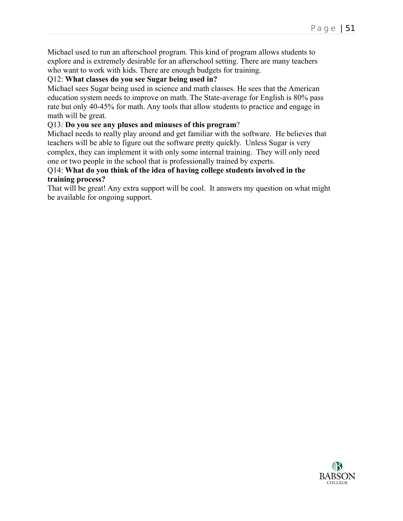Michael used to run an afterschool program. This kind of program allows students to explore and is extremely desirable for an afterschool setting. There are many teachers who want to work with kids. There are enough budgets for training.

## Q12: **What classes do you see Sugar being used in?**

Michael sees Sugar being used in science and math classes. He sees that the American education system needs to improve on math. The State-average for English is 80% pass rate but only 40-45% for math. Any tools that allow students to practice and engage in math will be great.

## Q13: **Do you see any pluses and minuses of this program**?

Michael needs to really play around and get familiar with the software. He believes that teachers will be able to figure out the software pretty quickly. Unless Sugar is very complex, they can implement it with only some internal training. They will only need one or two people in the school that is professionally trained by experts.

## Q14: **What do you think of the idea of having college students involved in the training process?**

That will be great! Any extra support will be cool. It answers my question on what might be available for ongoing support.

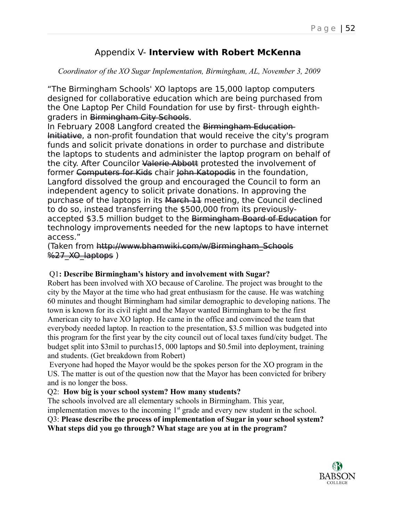# Appendix V- **Interview with Robert McKenna**

*Coordinator of the XO Sugar Implementation, Birmingham, AL, November 3, 2009*

"The Birmingham Schools' XO laptops are 15,000 laptop computers designed for collaborative education which are being purchased from the One Laptop Per Child Foundation for use by first- through eighthgraders in [Birmingham City Schools.](http://www.bhamwiki.com/w/Birmingham_City_Schools)

In February 2008 Langford created the [Birmingham Education](http://www.bhamwiki.com/w/Birmingham_Education_Initiative) [Initiative,](http://www.bhamwiki.com/w/Birmingham_Education_Initiative) a non-profit foundation that would receive the city's program funds and solicit private donations in order to purchase and distribute the laptops to students and administer the laptop program on behalf of the city. After Councilor [Valerie Abbott](http://www.bhamwiki.com/w/Valerie_Abbott) protested the involvement of former [Computers for Kids](http://www.bhamwiki.com/wiki/index.php?title=Computers_for_Kids&action=edit) chair [John Katopodis](http://www.bhamwiki.com/w/John_Katopodis) in the foundation, Langford dissolved the group and encouraged the Council to form an independent agency to solicit private donations. In approving the purchase of the laptops in its [March 11](http://www.bhamwiki.com/w/March_11) meeting, the Council declined to do so, instead transferring the \$500,000 from its previouslyaccepted \$3.5 million budget to the [Birmingham Board of Education](http://www.bhamwiki.com/w/Birmingham_Board_of_Education) for technology improvements needed for the new laptops to have internet access."

## (Taken from [http://www.bhamwiki.com/w/Birmingham\\_Schools](http://www.bhamwiki.com/w/Birmingham_Schools)  $%27$  XO laptops )

## Q1**: Describe Birmingham's history and involvement with Sugar?**

Robert has been involved with XO because of Caroline. The project was brought to the city by the Mayor at the time who had great enthusiasm for the cause. He was watching 60 minutes and thought Birmingham had similar demographic to developing nations. The town is known for its civil right and the Mayor wanted Birmingham to be the first American city to have XO laptop. He came in the office and convinced the team that everybody needed laptop. In reaction to the presentation, \$3.5 million was budgeted into this program for the first year by the city council out of local taxes fund/city budget. The budget split into \$3mil to purchas15, 000 laptops and \$0.5mil into deployment, training and students. (Get breakdown from Robert)

 Everyone had hoped the Mayor would be the spokes person for the XO program in the US. The matter is out of the question now that the Mayor has been convicted for bribery and is no longer the boss.

## Q2: **How big is your school system? How many students?**

The schools involved are all elementary schools in Birmingham. This year, implementation moves to the incoming  $1<sup>st</sup>$  grade and every new student in the school. Q3: **Please describe the process of implementation of Sugar in your school system? What steps did you go through? What stage are you at in the program?**

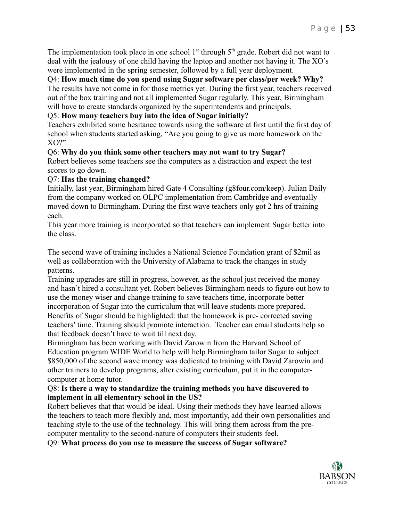The implementation took place in one school  $1<sup>st</sup>$  through  $5<sup>th</sup>$  grade. Robert did not want to deal with the jealousy of one child having the laptop and another not having it. The XO's were implemented in the spring semester, followed by a full year deployment.

Q4: **How much time do you spend using Sugar software per class/per week? Why?**  The results have not come in for those metrics yet. During the first year, teachers received out of the box training and not all implemented Sugar regularly. This year, Birmingham will have to create standards organized by the superintendents and principals.

## Q5: **How many teachers buy into the idea of Sugar initially?**

Teachers exhibited some hesitance towards using the software at first until the first day of school when students started asking, "Are you going to give us more homework on the XO?"

## Q6: **Why do you think some other teachers may not want to try Sugar?**

Robert believes some teachers see the computers as a distraction and expect the test scores to go down.

## Q7: **Has the training changed?**

Initially, last year, Birmingham hired Gate 4 Consulting (g8four.com/keep). Julian Daily from the company worked on OLPC implementation from Cambridge and eventually moved down to Birmingham. During the first wave teachers only got 2 hrs of training each.

This year more training is incorporated so that teachers can implement Sugar better into the class.

The second wave of training includes a National Science Foundation grant of \$2mil as well as collaboration with the University of Alabama to track the changes in study patterns.

Training upgrades are still in progress, however, as the school just received the money and hasn't hired a consultant yet. Robert believes Birmingham needs to figure out how to use the money wiser and change training to save teachers time, incorporate better incorporation of Sugar into the curriculum that will leave students more prepared. Benefits of Sugar should be highlighted: that the homework is pre- corrected saving teachers' time. Training should promote interaction. Teacher can email students help so that feedback doesn't have to wait till next day.

Birmingham has been working with David Zarowin from the Harvard School of Education program WIDE World to help will help Birmingham tailor Sugar to subject. \$850,000 of the second wave money was dedicated to training with David Zarowin and other trainers to develop programs, alter existing curriculum, put it in the computercomputer at home tutor.

## Q8: **Is there a way to standardize the training methods you have discovered to implement in all elementary school in the US?**

Robert believes that that would be ideal. Using their methods they have learned allows the teachers to teach more flexibly and, most importantly, add their own personalities and teaching style to the use of the technology. This will bring them across from the precomputer mentality to the second-nature of computers their students feel.

Q9: **What process do you use to measure the success of Sugar software?**

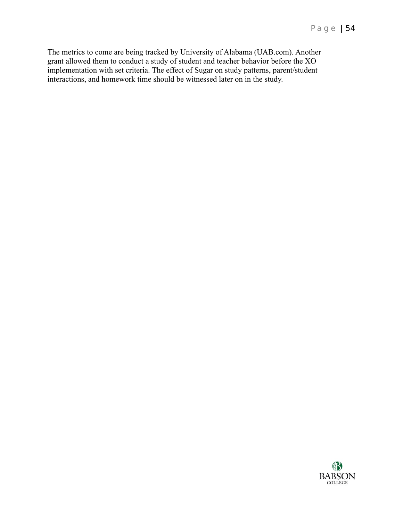The metrics to come are being tracked by University of Alabama (UAB.com). Another grant allowed them to conduct a study of student and teacher behavior before the XO implementation with set criteria. The effect of Sugar on study patterns, parent/student interactions, and homework time should be witnessed later on in the study.

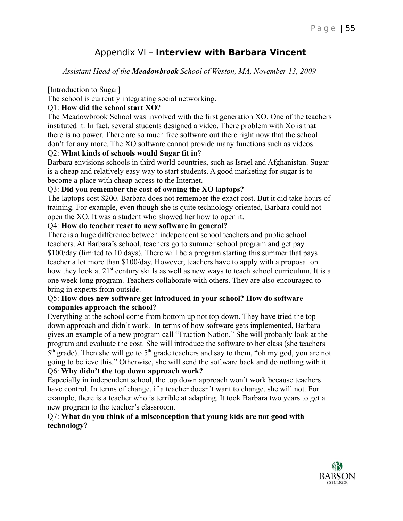# Appendix VI – **Interview with Barbara Vincent**

*Assistant Head of the Meadowbrook School of Weston, MA, November 13, 2009*

## [Introduction to Sugar]

The school is currently integrating social networking.

## Q1: **How did the school start XO**?

The Meadowbrook School was involved with the first generation XO. One of the teachers instituted it. In fact, several students designed a video. There problem with Xo is that there is no power. There are so much free software out there right now that the school don't for any more. The XO software cannot provide many functions such as videos.

## Q2: **What kinds of schools would Sugar fit in**?

Barbara envisions schools in third world countries, such as Israel and Afghanistan. Sugar is a cheap and relatively easy way to start students. A good marketing for sugar is to become a place with cheap access to the Internet.

## Q3: **Did you remember the cost of owning the XO laptops?**

The laptops cost \$200. Barbara does not remember the exact cost. But it did take hours of training. For example, even though she is quite technology oriented, Barbara could not open the XO. It was a student who showed her how to open it.

## Q4: **How do teacher react to new software in general?**

There is a huge difference between independent school teachers and public school teachers. At Barbara's school, teachers go to summer school program and get pay \$100/day (limited to 10 days). There will be a program starting this summer that pays teacher a lot more than \$100/day. However, teachers have to apply with a proposal on how they look at 21<sup>st</sup> century skills as well as new ways to teach school curriculum. It is a one week long program. Teachers collaborate with others. They are also encouraged to bring in experts from outside.

## Q5: **How does new software get introduced in your school? How do software companies approach the school?**

Everything at the school come from bottom up not top down. They have tried the top down approach and didn't work. In terms of how software gets implemented, Barbara gives an example of a new program call "Fraction Nation." She will probably look at the program and evaluate the cost. She will introduce the software to her class (she teachers  $5<sup>th</sup>$  grade). Then she will go to  $5<sup>th</sup>$  grade teachers and say to them, "oh my god, you are not going to believe this." Otherwise, she will send the software back and do nothing with it. Q6: **Why didn't the top down approach work?**

Especially in independent school, the top down approach won't work because teachers have control. In terms of change, if a teacher doesn't want to change, she will not. For example, there is a teacher who is terrible at adapting. It took Barbara two years to get a new program to the teacher's classroom.

## Q7: **What do you think of a misconception that young kids are not good with technology**?

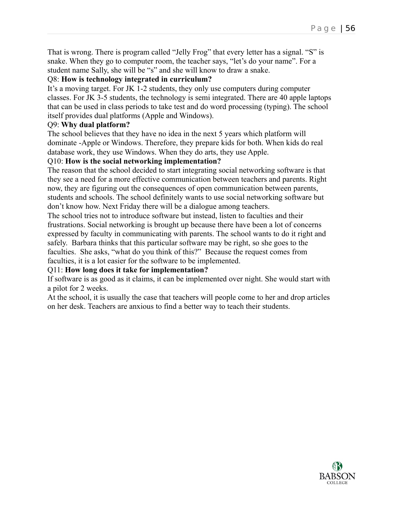That is wrong. There is program called "Jelly Frog" that every letter has a signal. "S" is snake. When they go to computer room, the teacher says, "let's do your name". For a student name Sally, she will be "s" and she will know to draw a snake.

## Q8: **How is technology integrated in curriculum?**

It's a moving target. For JK 1-2 students, they only use computers during computer classes. For JK 3-5 students, the technology is semi integrated. There are 40 apple laptops that can be used in class periods to take test and do word processing (typing). The school itself provides dual platforms (Apple and Windows).

## Q9: **Why dual platform?**

The school believes that they have no idea in the next 5 years which platform will dominate -Apple or Windows. Therefore, they prepare kids for both. When kids do real database work, they use Windows. When they do arts, they use Apple.

## Q10: **How is the social networking implementation?**

The reason that the school decided to start integrating social networking software is that they see a need for a more effective communication between teachers and parents. Right now, they are figuring out the consequences of open communication between parents, students and schools. The school definitely wants to use social networking software but don't know how. Next Friday there will be a dialogue among teachers.

The school tries not to introduce software but instead, listen to faculties and their frustrations. Social networking is brought up because there have been a lot of concerns expressed by faculty in communicating with parents. The school wants to do it right and safely. Barbara thinks that this particular software may be right, so she goes to the faculties. She asks, "what do you think of this?" Because the request comes from faculties, it is a lot easier for the software to be implemented.

#### Q11: **How long does it take for implementation?**

If software is as good as it claims, it can be implemented over night. She would start with a pilot for 2 weeks.

At the school, it is usually the case that teachers will people come to her and drop articles on her desk. Teachers are anxious to find a better way to teach their students.

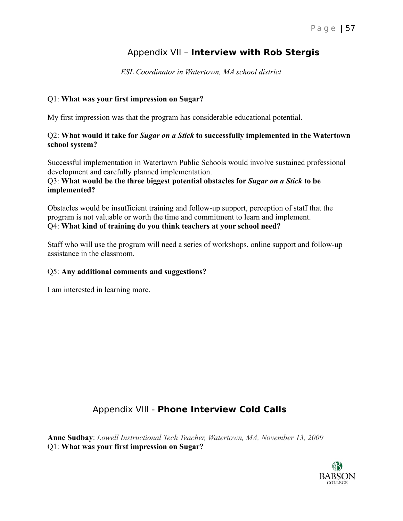# Appendix VII – **Interview with Rob Stergis**

*ESL Coordinator in Watertown, MA school district*

## Q1: **What was your first impression on Sugar?**

My first impression was that the program has considerable educational potential.

## Q2: **What would it take for** *Sugar on a Stick* **to successfully implemented in the Watertown school system?**

Successful implementation in Watertown Public Schools would involve sustained professional development and carefully planned implementation.

## Q3: **What would be the three biggest potential obstacles for** *Sugar on a Stick* **to be implemented?**

Obstacles would be insufficient training and follow-up support, perception of staff that the program is not valuable or worth the time and commitment to learn and implement. Q4: **What kind of training do you think teachers at your school need?**

Staff who will use the program will need a series of workshops, online support and follow-up assistance in the classroom.

## Q5: **Any additional comments and suggestions?**

I am interested in learning more.

# Appendix VIII - **Phone Interview Cold Calls**

**Anne Sudbay**: *Lowell Instructional Tech Teacher, Watertown, MA, November 13, 2009* Q1: **What was your first impression on Sugar?**

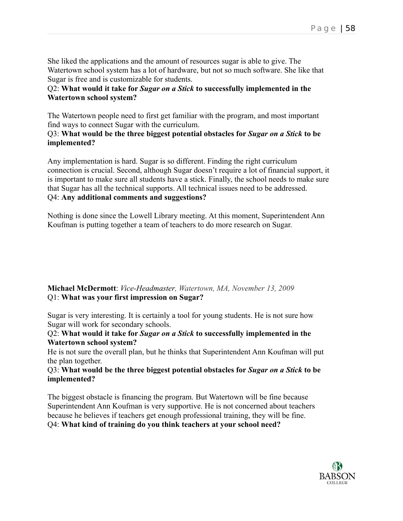She liked the applications and the amount of resources sugar is able to give. The Watertown school system has a lot of hardware, but not so much software. She like that Sugar is free and is customizable for students.

## Q2: **What would it take for** *Sugar on a Stick* **to successfully implemented in the Watertown school system?**

The Watertown people need to first get familiar with the program, and most important find ways to connect Sugar with the curriculum.

## Q3: **What would be the three biggest potential obstacles for** *Sugar on a Stick* **to be implemented?**

Any implementation is hard. Sugar is so different. Finding the right curriculum connection is crucial. Second, although Sugar doesn't require a lot of financial support, it is important to make sure all students have a stick. Finally, the school needs to make sure that Sugar has all the technical supports. All technical issues need to be addressed. Q4: **Any additional comments and suggestions?**

Nothing is done since the Lowell Library meeting. At this moment, Superintendent Ann Koufman is putting together a team of teachers to do more research on Sugar.

## **Michael McDermott**: *Vice-Headmaster, Watertown, MA, November 13, 2009* Q1: **What was your first impression on Sugar?**

Sugar is very interesting. It is certainly a tool for young students. He is not sure how Sugar will work for secondary schools.

## Q2: **What would it take for** *Sugar on a Stick* **to successfully implemented in the Watertown school system?**

He is not sure the overall plan, but he thinks that Superintendent Ann Koufman will put the plan together.

## Q3: **What would be the three biggest potential obstacles for** *Sugar on a Stick* **to be implemented?**

The biggest obstacle is financing the program. But Watertown will be fine because Superintendent Ann Koufman is very supportive. He is not concerned about teachers because he believes if teachers get enough professional training, they will be fine. Q4: **What kind of training do you think teachers at your school need?**

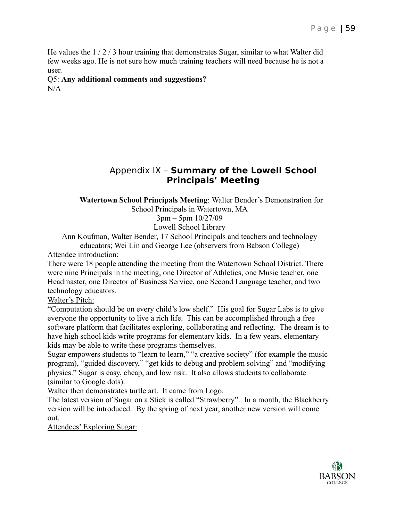He values the  $1/2/3$  hour training that demonstrates Sugar, similar to what Walter did few weeks ago. He is not sure how much training teachers will need because he is not a user.

Q5: **Any additional comments and suggestions?**  $N/A$ 

# Appendix IX – **Summary of the Lowell School Principals' Meeting**

**Watertown School Principals Meeting**: Walter Bender's Demonstration for School Principals in Watertown, MA

3pm – 5pm 10/27/09

Lowell School Library

Ann Koufman, Walter Bender, 17 School Principals and teachers and technology

educators; Wei Lin and George Lee (observers from Babson College)

Attendee introduction:

There were 18 people attending the meeting from the Watertown School District. There were nine Principals in the meeting, one Director of Athletics, one Music teacher, one Headmaster, one Director of Business Service, one Second Language teacher, and two technology educators.

Walter's Pitch:

"Computation should be on every child's low shelf." His goal for Sugar Labs is to give everyone the opportunity to live a rich life. This can be accomplished through a free software platform that facilitates exploring, collaborating and reflecting. The dream is to have high school kids write programs for elementary kids. In a few years, elementary kids may be able to write these programs themselves.

Sugar empowers students to "learn to learn," "a creative society" (for example the music program), "guided discovery," "get kids to debug and problem solving" and "modifying physics." Sugar is easy, cheap, and low risk. It also allows students to collaborate (similar to Google dots).

Walter then demonstrates turtle art. It came from Logo.

The latest version of Sugar on a Stick is called "Strawberry". In a month, the Blackberry version will be introduced. By the spring of next year, another new version will come out.

Attendees' Exploring Sugar:

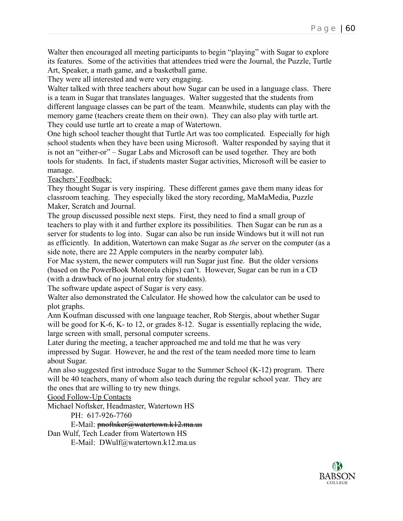Walter then encouraged all meeting participants to begin "playing" with Sugar to explore its features. Some of the activities that attendees tried were the Journal, the Puzzle, Turtle Art, Speaker, a math game, and a basketball game.

They were all interested and were very engaging.

Walter talked with three teachers about how Sugar can be used in a language class. There is a team in Sugar that translates languages. Walter suggested that the students from different language classes can be part of the team. Meanwhile, students can play with the memory game (teachers create them on their own). They can also play with turtle art. They could use turtle art to create a map of Watertown.

One high school teacher thought that Turtle Art was too complicated. Especially for high school students when they have been using Microsoft. Walter responded by saying that it is not an "either-or" – Sugar Labs and Microsoft can be used together. They are both tools for students. In fact, if students master Sugar activities, Microsoft will be easier to manage.

Teachers' Feedback:

They thought Sugar is very inspiring. These different games gave them many ideas for classroom teaching. They especially liked the story recording, MaMaMedia, Puzzle Maker, Scratch and Journal.

The group discussed possible next steps. First, they need to find a small group of teachers to play with it and further explore its possibilities. Then Sugar can be run as a server for students to log into. Sugar can also be run inside Windows but it will not run as efficiently. In addition, Watertown can make Sugar as *the* server on the computer (as a side note, there are 22 Apple computers in the nearby computer lab).

For Mac system, the newer computers will run Sugar just fine. But the older versions (based on the PowerBook Motorola chips) can't. However, Sugar can be run in a CD (with a drawback of no journal entry for students).

The software update aspect of Sugar is very easy.

Walter also demonstrated the Calculator. He showed how the calculator can be used to plot graphs.

Ann Koufman discussed with one language teacher, Rob Stergis, about whether Sugar will be good for K-6, K- to 12, or grades 8-12. Sugar is essentially replacing the wide, large screen with small, personal computer screens.

Later during the meeting, a teacher approached me and told me that he was very impressed by Sugar. However, he and the rest of the team needed more time to learn about Sugar.

Ann also suggested first introduce Sugar to the Summer School (K-12) program. There will be 40 teachers, many of whom also teach during the regular school year. They are the ones that are willing to try new things.

Good Follow-Up Contacts

Michael Noftsker, Headmaster, Watertown HS

PH: 617-926-7760

E-Mail: [pnoftsker@watertown.k12.ma.us](mailto:pnoftsker@watertown.k12.ma.us)

Dan Wulf, Tech Leader from Watertown HS E-Mail: DWulf@watertown.k12.ma.us

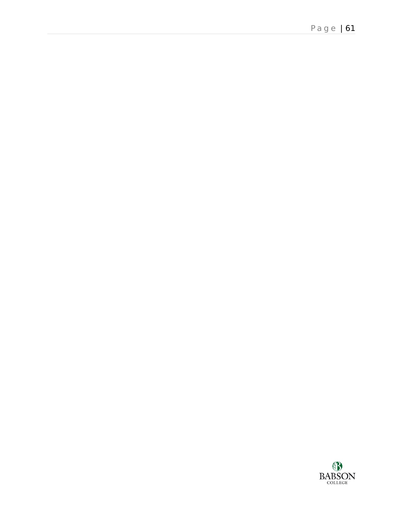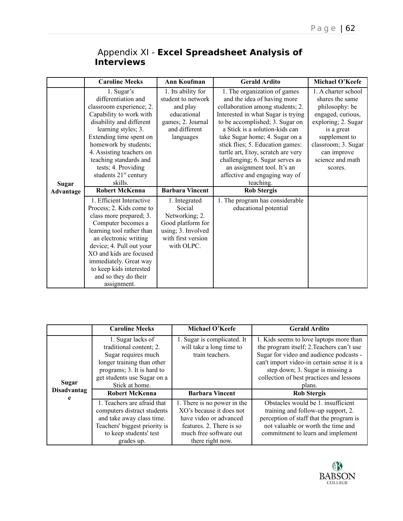|                   | Appendix XI - Excel Spreadsheet Analysis of |  |
|-------------------|---------------------------------------------|--|
| <b>Interviews</b> |                                             |  |

|              | <b>Caroline Meeks</b>                                                                                                                                                                                                                                                                                          | <b>Ann Koufman</b>                                                                                                       | <b>Gerald Ardito</b>                                                                                                                                                                                                                                                                                                                                                                     | Michael O'Keefe                                                                                                                                                                                          |
|--------------|----------------------------------------------------------------------------------------------------------------------------------------------------------------------------------------------------------------------------------------------------------------------------------------------------------------|--------------------------------------------------------------------------------------------------------------------------|------------------------------------------------------------------------------------------------------------------------------------------------------------------------------------------------------------------------------------------------------------------------------------------------------------------------------------------------------------------------------------------|----------------------------------------------------------------------------------------------------------------------------------------------------------------------------------------------------------|
|              | 1. Sugar's<br>differentiation and<br>classroom experience; 2.<br>Capability to work with<br>disability and different<br>learning styles; 3.<br>Extending time spent on<br>homework by students;<br>4. Assisting teachers on<br>teaching standards and<br>tests; 4. Providing                                   | 1. Its ability for<br>student to network<br>and play<br>educational<br>games; 2. Journal<br>and different<br>languages   | 1. The organization of games<br>and the idea of having more<br>collaboration among students; 2.<br>Interested in what Sugar is trying<br>to be accomplished; 3. Sugar on<br>a Stick is a solution-kids can<br>take Sugar home; 4. Sugar on a<br>stick flies; 5. Education games:<br>turtle art, Etoy, scratch are very<br>challenging; 6. Sugar serves as<br>an assignment tool. It's an | 1. A charter school<br>shares the same<br>philosophy: be<br>engaged, curious,<br>exploring; 2. Sugar<br>is a great<br>supplement to<br>classroom; 3. Sugar<br>can improve<br>science and math<br>scores. |
| <b>Sugar</b> | students $21st$ century<br>skills.                                                                                                                                                                                                                                                                             |                                                                                                                          | affective and engaging way of<br>teaching.                                                                                                                                                                                                                                                                                                                                               |                                                                                                                                                                                                          |
| Advantage    | <b>Robert McKenna</b>                                                                                                                                                                                                                                                                                          | <b>Barbara Vincent</b>                                                                                                   | <b>Rob Stergis</b>                                                                                                                                                                                                                                                                                                                                                                       |                                                                                                                                                                                                          |
|              | 1. Efficient Interactive<br>Process; 2. Kids come to<br>class more prepared; 3.<br>Computer becomes a<br>learning tool rather than<br>an electronic writing<br>device; 4. Pull out your<br>XO and kids are focused<br>immediately. Great way<br>to keep kids interested<br>and so they do their<br>assignment. | 1. Integrated<br>Social<br>Networking; 2.<br>Good platform for<br>using; 3. Involved<br>with first version<br>with OLPC. | 1. The program has considerable<br>educational potential                                                                                                                                                                                                                                                                                                                                 |                                                                                                                                                                                                          |

|                         | <b>Caroline Meeks</b>                                                                                                                                                            | Michael O'Keefe                                                                                                                                             | <b>Gerald Ardito</b>                                                                                                                                                                                                                                                     |
|-------------------------|----------------------------------------------------------------------------------------------------------------------------------------------------------------------------------|-------------------------------------------------------------------------------------------------------------------------------------------------------------|--------------------------------------------------------------------------------------------------------------------------------------------------------------------------------------------------------------------------------------------------------------------------|
| <b>Sugar</b>            | 1. Sugar lacks of<br>traditional content; 2.<br>Sugar requires much<br>longer training than other<br>programs; 3. It is hard to<br>get students use Sugar on a<br>Stick at home. | 1. Sugar is complicated. It<br>will take a long time to<br>train teachers.                                                                                  | 1. Kids seems to love laptops more than<br>the program itself; 2. Teachers can't use<br>Sugar for video and audience podcasts -<br>can't import video-in certain sense it is a<br>step down; 3. Sugar is missing a<br>collection of best practices and lessons<br>plans. |
| <b>Disadvantag</b><br>e | <b>Robert McKenna</b>                                                                                                                                                            | <b>Barbara Vincent</b>                                                                                                                                      | <b>Rob Stergis</b>                                                                                                                                                                                                                                                       |
|                         | 1. Teachers are afraid that<br>computers distract students<br>and take away class time.<br>Teachers' biggest priority is<br>to keep students' test<br>grades up.                 | 1. There is no power in the<br>XO's because it does not<br>have video or advanced<br>features. 2. There is so<br>much free software out<br>there right now. | Obstacles would be 1. insufficient<br>training and follow-up support, 2.<br>perception of staff that the program is<br>not valuable or worth the time and<br>commitment to learn and implement                                                                           |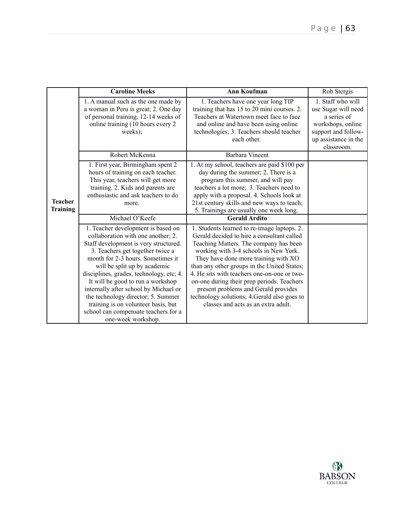|                                   | <b>Caroline Meeks</b>                                                                                                                                                                                                                                                                                                                                                                                                                                                                           | <b>Ann Koufman</b>                                                                                                                                                                                                                                                                                                                                                                                                                                                                              | Rob Stergis                                                                                                                                 |
|-----------------------------------|-------------------------------------------------------------------------------------------------------------------------------------------------------------------------------------------------------------------------------------------------------------------------------------------------------------------------------------------------------------------------------------------------------------------------------------------------------------------------------------------------|-------------------------------------------------------------------------------------------------------------------------------------------------------------------------------------------------------------------------------------------------------------------------------------------------------------------------------------------------------------------------------------------------------------------------------------------------------------------------------------------------|---------------------------------------------------------------------------------------------------------------------------------------------|
|                                   | 1. A manual such as the one made by<br>a woman in Peru is great; 2. One day<br>of personal training, 12-14 weeks of<br>online training (10 hours every 2<br>weeks);                                                                                                                                                                                                                                                                                                                             | 1. Teachers have one year long TIP<br>training that has 15 to 20 mini courses. 2.<br>Teachers at Watertown meet face to face<br>and online and have been using online<br>technologies; 3. Teachers should teacher<br>each other.                                                                                                                                                                                                                                                                | $1.$ Staff who will<br>use Sugar will need<br>a series of<br>workshops, online<br>support and follow-<br>up assistance in the<br>classroom. |
|                                   | Robert McKenna                                                                                                                                                                                                                                                                                                                                                                                                                                                                                  | Barbara Vincent                                                                                                                                                                                                                                                                                                                                                                                                                                                                                 |                                                                                                                                             |
| <b>Teacher</b><br><b>Training</b> | 1. First year, Birmingham spent 2<br>hours of training on each teacher.<br>This year, teachers will get more<br>training. 2. Kids and parents are<br>enthusiastic and ask teachers to do<br>more.                                                                                                                                                                                                                                                                                               | 1. At my school, teachers are paid \$100 per<br>day during the summer; 2. There is a<br>program this summer, and will pay<br>teachers a lot more; 3. Teachers need to<br>apply with a proposal. 4. Schools look at<br>21st century skills and new ways to teach;<br>5. Trainings are usually one week long.                                                                                                                                                                                     |                                                                                                                                             |
|                                   | Michael O'Keefe                                                                                                                                                                                                                                                                                                                                                                                                                                                                                 | <b>Gerald Ardito</b>                                                                                                                                                                                                                                                                                                                                                                                                                                                                            |                                                                                                                                             |
|                                   | 1. Teacher development is based on<br>collaboration with one another; 2.<br>Staff development is very structured.<br>3. Teachers get together twice a<br>month for 2-3 hours. Sometimes it<br>will be split up by academic<br>disciplines, grades, technology, etc; 4.<br>It will be good to run a workshop<br>internally after school by Michael or<br>the technology director; 5. Summer<br>training is on volunteer basis, but<br>school can compensate teachers for a<br>one-week workshop. | 1. Students learned to re-image laptops. 2.<br>Gerald decided to hire a consultant called<br>Teaching Matters. The company has been<br>working with 3-4 schools in New York.<br>They have done more training with XO<br>than any other groups in the United States;<br>4. He sits with teachers one-on-one or two-<br>on-one during their prep periods. Teachers<br>present problems and Gerald provides<br>technology solutions; 4. Gerald also goes to<br>classes and acts as an extra adult. |                                                                                                                                             |

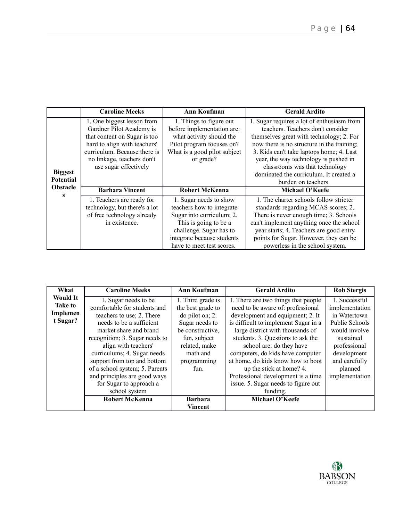|                                    | <b>Caroline Meeks</b>                                                                                                                                                                                         | Ann Koufman                                                                                                                                                                                     | <b>Gerald Ardito</b>                                                                                                                                                                                                                                                                                                                                              |
|------------------------------------|---------------------------------------------------------------------------------------------------------------------------------------------------------------------------------------------------------------|-------------------------------------------------------------------------------------------------------------------------------------------------------------------------------------------------|-------------------------------------------------------------------------------------------------------------------------------------------------------------------------------------------------------------------------------------------------------------------------------------------------------------------------------------------------------------------|
| <b>Biggest</b><br><b>Potential</b> | 1. One biggest lesson from<br>Gardner Pilot Academy is<br>that content on Sugar is too<br>hard to align with teachers'<br>curriculum. Because there is<br>no linkage, teachers don't<br>use sugar effectively | 1. Things to figure out<br>before implementation are:<br>what activity should the<br>Pilot program focuses on?<br>What is a good pilot subject<br>or grade?                                     | 1. Sugar requires a lot of enthusiasm from<br>teachers. Teachers don't consider<br>themselves great with technology; 2. For<br>now there is no structure in the training;<br>3. Kids can't take laptops home; 4. Last<br>year, the way technology is pushed in<br>classrooms was that technology<br>dominated the curriculum. It created a<br>burden on teachers. |
| <b>Obstacle</b>                    | <b>Barbara Vincent</b>                                                                                                                                                                                        | <b>Robert McKenna</b>                                                                                                                                                                           | Michael O'Keefe                                                                                                                                                                                                                                                                                                                                                   |
| s                                  | 1. Teachers are ready for<br>technology, but there's a lot<br>of free technology already<br>in existence.                                                                                                     | 1. Sugar needs to show<br>teachers how to integrate<br>Sugar into curriculum; 2.<br>This is going to be a<br>challenge. Sugar has to<br>integrate because students<br>have to meet test scores. | 1. The charter schools follow stricter<br>standards regarding MCAS scores; 2.<br>There is never enough time; 3. Schools<br>can't implement anything once the school<br>year starts; 4. Teachers are good entry<br>points for Sugar. However, they can be<br>powerless in the school system.                                                                       |

| What            | <b>Caroline Meeks</b>          | Ann Koufman       | <b>Gerald Ardito</b>                 | <b>Rob Stergis</b>    |
|-----------------|--------------------------------|-------------------|--------------------------------------|-----------------------|
| <b>Would It</b> | 1. Sugar needs to be           | 1. Third grade is | 1. There are two things that people  | 1. Successful         |
| <b>Take to</b>  | comfortable for students and   | the best grade to | need to be aware of: professional    | implementation        |
| Implemen        | teachers to use; 2. There      | do pilot on; 2.   | development and equipment; 2. It     | in Watertown          |
| t Sugar?        | needs to be a sufficient       | Sugar needs to    | is difficult to implement Sugar in a | <b>Public Schools</b> |
|                 | market share and brand         | be constructive.  | large district with thousands of     | would involve         |
|                 | recognition; 3. Sugar needs to | fun, subject      | students. 3. Questions to ask the    | sustained             |
|                 | align with teachers'           | related, make     | school are: do they have             | professional          |
|                 | curriculums; 4. Sugar needs    | math and          | computers, do kids have computer     | development           |
|                 | support from top and bottom    | programming       | at home, do kids know how to boot    | and carefully         |
|                 | of a school system; 5. Parents | fun.              | up the stick at home? 4.             | planned               |
|                 | and principles are good ways   |                   | Professional development is a time   | implementation        |
|                 | for Sugar to approach a        |                   | issue. 5. Sugar needs to figure out  |                       |
|                 | school system                  |                   | funding.                             |                       |
|                 | <b>Robert McKenna</b>          | <b>Barbara</b>    | Michael O'Keefe                      |                       |
|                 |                                | <b>Vincent</b>    |                                      |                       |

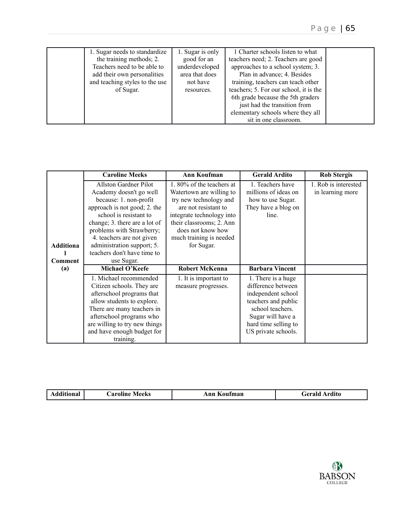| 1. Sugar needs to standardize<br>the training methods; 2.<br>Teachers need to be able to<br>add their own personalities<br>and teaching styles to the use<br>of Sugar. | 1. Sugar is only<br>good for an<br>underdeveloped<br>area that does<br>not have<br>resources. | 1 Charter schools listen to what<br>teachers need; 2. Teachers are good<br>approaches to a school system; 3.<br>Plan in advance; 4. Besides<br>training, teachers can teach other<br>teachers; 5. For our school, it is the<br>6th grade because the 5th graders<br>just had the transition from<br>elementary schools where they all |  |
|------------------------------------------------------------------------------------------------------------------------------------------------------------------------|-----------------------------------------------------------------------------------------------|---------------------------------------------------------------------------------------------------------------------------------------------------------------------------------------------------------------------------------------------------------------------------------------------------------------------------------------|--|
|                                                                                                                                                                        |                                                                                               | sit in one classroom.                                                                                                                                                                                                                                                                                                                 |  |

|                  | <b>Caroline Meeks</b>         | Ann Koufman               | <b>Gerald Ardito</b>   | <b>Rob Stergis</b>   |
|------------------|-------------------------------|---------------------------|------------------------|----------------------|
|                  | Allston Gardner Pilot         | 1.80% of the teachers at  | 1. Teachers have       | 1. Rob is interested |
|                  | Academy doesn't go well       | Watertown are willing to  | millions of ideas on   | in learning more     |
|                  | because: 1. non-profit        | try new technology and    | how to use Sugar.      |                      |
|                  | approach is not good; 2. the  | are not resistant to      | They have a blog on    |                      |
|                  | school is resistant to        | integrate technology into | line.                  |                      |
|                  | change; 3. there are a lot of | their classrooms; 2. Ann  |                        |                      |
|                  | problems with Strawberry;     | does not know how         |                        |                      |
|                  | 4. teachers are not given     | much training is needed   |                        |                      |
| <b>Additiona</b> | administration support; 5.    | for Sugar.                |                        |                      |
|                  | teachers don't have time to   |                           |                        |                      |
| <b>Comment</b>   | use Sugar.                    |                           |                        |                      |
| (a)              | Michael O'Keefe               | <b>Robert McKenna</b>     | <b>Barbara Vincent</b> |                      |
|                  | 1. Michael recommended        | 1. It is important to     | 1. There is a huge     |                      |
|                  | Citizen schools. They are     | measure progresses.       | difference between     |                      |
|                  | afterschool programs that     |                           | independent school     |                      |
|                  | allow students to explore.    |                           | teachers and public    |                      |
|                  | There are many teachers in    |                           | school teachers.       |                      |
|                  | afterschool programs who      |                           | Sugar will have a      |                      |
|                  | are willing to try new things |                           | hard time selling to   |                      |
|                  | and have enough budget for    |                           | US private schools.    |                      |
|                  | training.                     |                           |                        |                      |

| $\cdots$<br>$\sim$ $\sim$ | aroline.<br>Meeks<br>____ | $\mathbf{m}$<br>tman | $\blacksquare$<br>.rdito<br>$^{\circ}$ $\alpha$ . $\alpha$ |
|---------------------------|---------------------------|----------------------|------------------------------------------------------------|
|                           |                           |                      |                                                            |